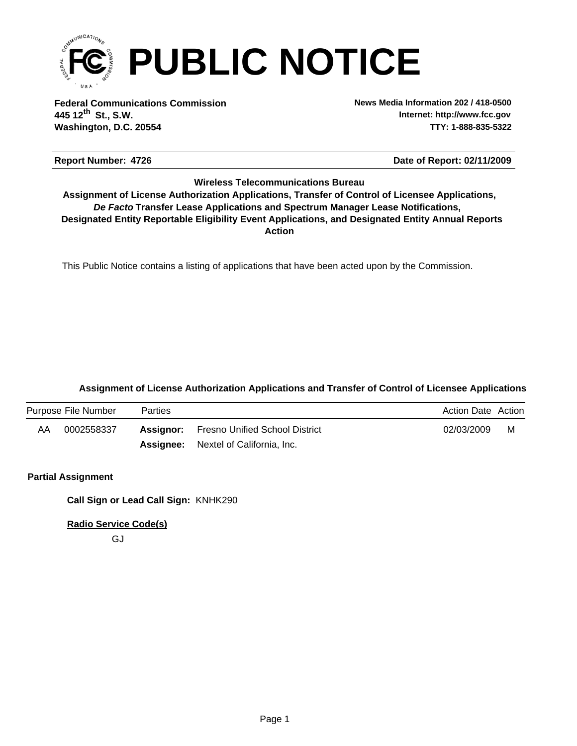

**Federal Communications Commission News Media Information 202 / 418-0500 Washington, D.C. 20554 TTY: 1-888-835-5322 445 12 St., S.W. th**

**Internet: http://www.fcc.gov**

### **Report Number: 4726 4726 4726 4726 4726 4726 4726 4726 4726 4726 4726 4726 4726 4726 4726 4726 4726 4726 4726 4726 4726 4726 4726 4726 4726 4726 4726 4726 4726 472**

## **Wireless Telecommunications Bureau**

**Action** *De Facto* **Transfer Lease Applications and Spectrum Manager Lease Notifications, Designated Entity Reportable Eligibility Event Applications, and Designated Entity Annual Reports Assignment of License Authorization Applications, Transfer of Control of Licensee Applications,**

This Public Notice contains a listing of applications that have been acted upon by the Commission.

## **Assignment of License Authorization Applications and Transfer of Control of Licensee Applications**

|    | Purpose File Number | <b>Parties</b> |                                                 | <b>Action Date Action</b> |   |
|----|---------------------|----------------|-------------------------------------------------|---------------------------|---|
| AA | 0002558337          |                | <b>Assignor:</b> Fresno Unified School District | 02/03/2009                | M |
|    |                     |                | <b>Assignee:</b> Nextel of California, Inc.     |                           |   |

## **Partial Assignment**

**Call Sign or Lead Call Sign:** KNHK290

**Radio Service Code(s)**

GJ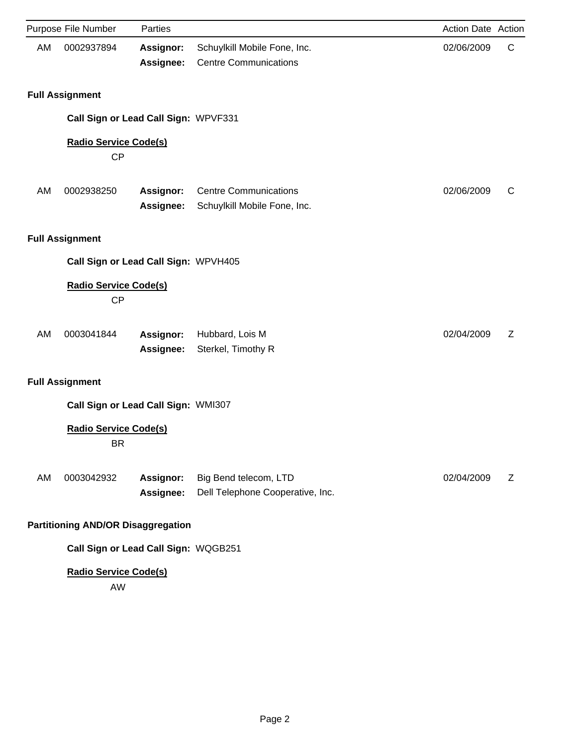|    | Purpose File Number                       | Parties                       |                                                              | Action Date Action |   |
|----|-------------------------------------------|-------------------------------|--------------------------------------------------------------|--------------------|---|
| AM | 0002937894                                | <b>Assignor:</b><br>Assignee: | Schuylkill Mobile Fone, Inc.<br><b>Centre Communications</b> | 02/06/2009         | C |
|    | <b>Full Assignment</b>                    |                               |                                                              |                    |   |
|    | Call Sign or Lead Call Sign: WPVF331      |                               |                                                              |                    |   |
|    | <b>Radio Service Code(s)</b><br>CP        |                               |                                                              |                    |   |
| AM | 0002938250                                | <b>Assignor:</b><br>Assignee: | <b>Centre Communications</b><br>Schuylkill Mobile Fone, Inc. | 02/06/2009         | C |
|    | <b>Full Assignment</b>                    |                               |                                                              |                    |   |
|    | Call Sign or Lead Call Sign: WPVH405      |                               |                                                              |                    |   |
|    | <b>Radio Service Code(s)</b><br><b>CP</b> |                               |                                                              |                    |   |
| AM | 0003041844                                | Assignor:<br>Assignee:        | Hubbard, Lois M<br>Sterkel, Timothy R                        | 02/04/2009         | Ζ |
|    | <b>Full Assignment</b>                    |                               |                                                              |                    |   |
|    | Call Sign or Lead Call Sign: WMI307       |                               |                                                              |                    |   |
|    | <b>Radio Service Code(s)</b><br><b>BR</b> |                               |                                                              |                    |   |
| AM | 0003042932                                | Assignor:<br>Assignee:        | Big Bend telecom, LTD<br>Dell Telephone Cooperative, Inc.    | 02/04/2009         | Ζ |
|    | <b>Partitioning AND/OR Disaggregation</b> |                               |                                                              |                    |   |
|    | Call Sign or Lead Call Sign: WQGB251      |                               |                                                              |                    |   |

AW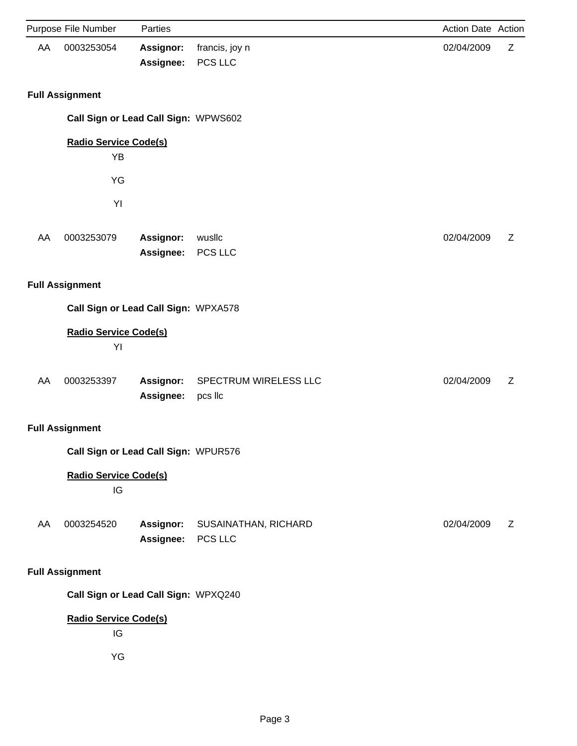|    | Purpose File Number                       | Parties                       |                                  | Action Date Action |   |
|----|-------------------------------------------|-------------------------------|----------------------------------|--------------------|---|
| AA | 0003253054                                | Assignor:<br>Assignee:        | francis, joy n<br>PCS LLC        | 02/04/2009         | Z |
|    | <b>Full Assignment</b>                    |                               |                                  |                    |   |
|    | Call Sign or Lead Call Sign: WPWS602      |                               |                                  |                    |   |
|    | <b>Radio Service Code(s)</b><br><b>YB</b> |                               |                                  |                    |   |
|    | YG                                        |                               |                                  |                    |   |
|    | YI                                        |                               |                                  |                    |   |
| AA | 0003253079                                | Assignor:<br>Assignee:        | wusllc<br>PCS LLC                | 02/04/2009         | Z |
|    | <b>Full Assignment</b>                    |                               |                                  |                    |   |
|    | Call Sign or Lead Call Sign: WPXA578      |                               |                                  |                    |   |
|    | <b>Radio Service Code(s)</b><br>YI        |                               |                                  |                    |   |
| AA | 0003253397                                | Assignor:<br>Assignee:        | SPECTRUM WIRELESS LLC<br>pcs llc | 02/04/2009         | Z |
|    | <b>Full Assignment</b>                    |                               |                                  |                    |   |
|    | Call Sign or Lead Call Sign: WPUR576      |                               |                                  |                    |   |
|    | <b>Radio Service Code(s)</b><br>IG        |                               |                                  |                    |   |
| AA | 0003254520                                | <b>Assignor:</b><br>Assignee: | SUSAINATHAN, RICHARD<br>PCS LLC  | 02/04/2009         | Z |
|    | <b>Full Assignment</b>                    |                               |                                  |                    |   |
|    | Call Sign or Lead Call Sign: WPXQ240      |                               |                                  |                    |   |
|    | <b>Radio Service Code(s)</b><br>IG        |                               |                                  |                    |   |
|    | YG                                        |                               |                                  |                    |   |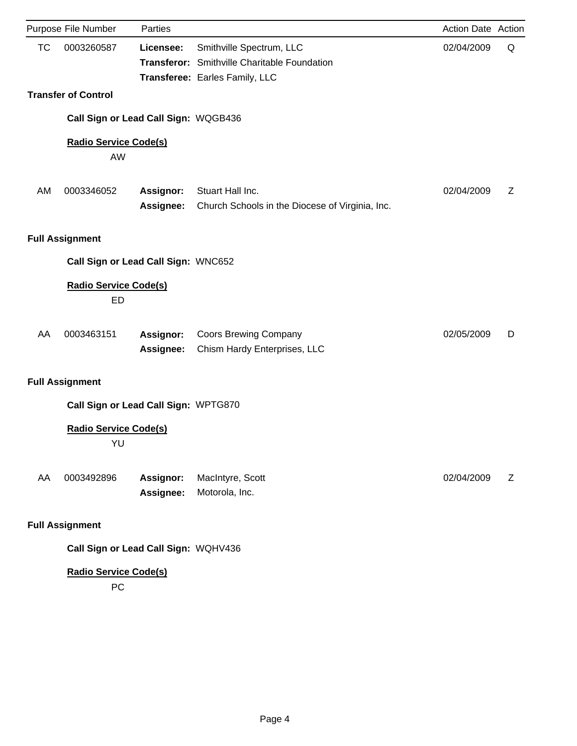|           | Purpose File Number                | Parties                              |                                                                                                            | <b>Action Date Action</b> |   |
|-----------|------------------------------------|--------------------------------------|------------------------------------------------------------------------------------------------------------|---------------------------|---|
| <b>TC</b> | 0003260587                         | Licensee:                            | Smithville Spectrum, LLC<br>Transferor: Smithville Charitable Foundation<br>Transferee: Earles Family, LLC | 02/04/2009                | Q |
|           | <b>Transfer of Control</b>         |                                      |                                                                                                            |                           |   |
|           |                                    | Call Sign or Lead Call Sign: WQGB436 |                                                                                                            |                           |   |
|           | <b>Radio Service Code(s)</b><br>AW |                                      |                                                                                                            |                           |   |
| AM        | 0003346052                         | <b>Assignor:</b><br><b>Assignee:</b> | Stuart Hall Inc.<br>Church Schools in the Diocese of Virginia, Inc.                                        | 02/04/2009                | Ζ |
|           | <b>Full Assignment</b>             |                                      |                                                                                                            |                           |   |
|           |                                    | Call Sign or Lead Call Sign: WNC652  |                                                                                                            |                           |   |
|           | <b>Radio Service Code(s)</b><br>ED |                                      |                                                                                                            |                           |   |
| AA        | 0003463151                         | Assignor:<br>Assignee:               | <b>Coors Brewing Company</b><br>Chism Hardy Enterprises, LLC                                               | 02/05/2009                | D |
|           | <b>Full Assignment</b>             |                                      |                                                                                                            |                           |   |
|           |                                    | Call Sign or Lead Call Sign: WPTG870 |                                                                                                            |                           |   |
|           | <b>Radio Service Code(s)</b><br>YU |                                      |                                                                                                            |                           |   |
| AA        | 0003492896                         | Assignor:<br>Assignee:               | MacIntyre, Scott<br>Motorola, Inc.                                                                         | 02/04/2009                | Ζ |
|           | <b>Full Assignment</b>             |                                      |                                                                                                            |                           |   |
|           |                                    | Call Sign or Lead Call Sign: WQHV436 |                                                                                                            |                           |   |

PC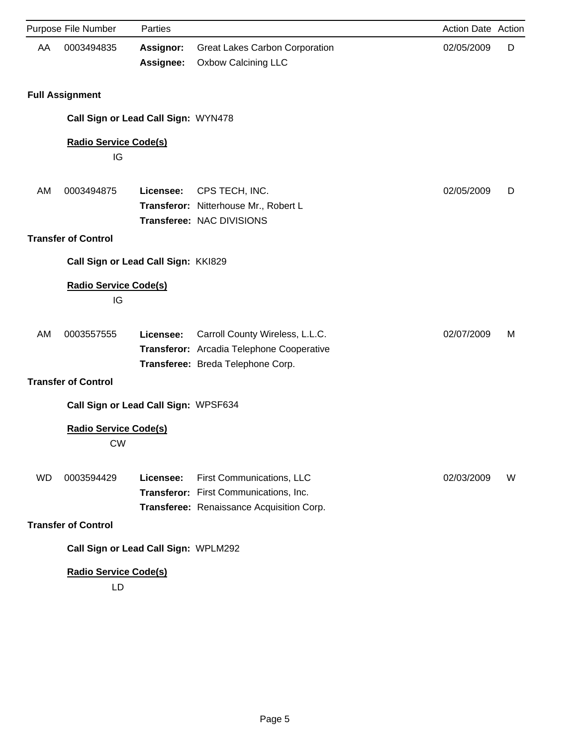|           | Purpose File Number                       | Parties                       |                                                                                                                   | Action Date Action |   |
|-----------|-------------------------------------------|-------------------------------|-------------------------------------------------------------------------------------------------------------------|--------------------|---|
| AA        | 0003494835                                | <b>Assignor:</b><br>Assignee: | <b>Great Lakes Carbon Corporation</b><br><b>Oxbow Calcining LLC</b>                                               | 02/05/2009         | D |
|           | <b>Full Assignment</b>                    |                               |                                                                                                                   |                    |   |
|           | Call Sign or Lead Call Sign: WYN478       |                               |                                                                                                                   |                    |   |
|           | <b>Radio Service Code(s)</b><br>IG        |                               |                                                                                                                   |                    |   |
| AM        | 0003494875                                | Licensee:                     | CPS TECH, INC.<br>Transferor: Nitterhouse Mr., Robert L<br>Transferee: NAC DIVISIONS                              | 02/05/2009         | D |
|           | <b>Transfer of Control</b>                |                               |                                                                                                                   |                    |   |
|           | Call Sign or Lead Call Sign: KKI829       |                               |                                                                                                                   |                    |   |
|           | <b>Radio Service Code(s)</b><br>IG        |                               |                                                                                                                   |                    |   |
| AM        | 0003557555                                | Licensee:                     | Carroll County Wireless, L.L.C.<br>Transferor: Arcadia Telephone Cooperative<br>Transferee: Breda Telephone Corp. | 02/07/2009         | M |
|           | <b>Transfer of Control</b>                |                               |                                                                                                                   |                    |   |
|           | Call Sign or Lead Call Sign: WPSF634      |                               |                                                                                                                   |                    |   |
|           | <b>Radio Service Code(s)</b><br><b>CW</b> |                               |                                                                                                                   |                    |   |
| <b>WD</b> | 0003594429                                | Licensee:                     | First Communications, LLC<br>Transferor: First Communications, Inc.<br>Transferee: Renaissance Acquisition Corp.  | 02/03/2009         | W |
|           | <b>Transfer of Control</b>                |                               |                                                                                                                   |                    |   |
|           | Call Sign or Lead Call Sign: WPLM292      |                               |                                                                                                                   |                    |   |
|           | <b>Radio Service Code(s)</b>              |                               |                                                                                                                   |                    |   |

LD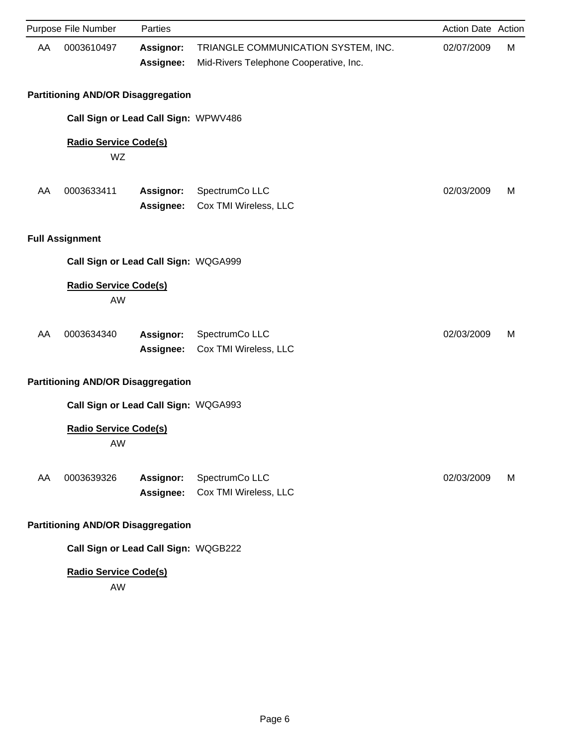|    | Purpose File Number                       | Parties                              |                                                                               | Action Date Action |   |
|----|-------------------------------------------|--------------------------------------|-------------------------------------------------------------------------------|--------------------|---|
| AA | 0003610497                                | <b>Assignor:</b><br>Assignee:        | TRIANGLE COMMUNICATION SYSTEM, INC.<br>Mid-Rivers Telephone Cooperative, Inc. | 02/07/2009         | M |
|    | <b>Partitioning AND/OR Disaggregation</b> |                                      |                                                                               |                    |   |
|    | Call Sign or Lead Call Sign: WPWV486      |                                      |                                                                               |                    |   |
|    | <b>Radio Service Code(s)</b><br>WZ        |                                      |                                                                               |                    |   |
| AA | 0003633411                                | Assignor:<br><b>Assignee:</b>        | SpectrumCo LLC<br>Cox TMI Wireless, LLC                                       | 02/03/2009         | M |
|    | <b>Full Assignment</b>                    |                                      |                                                                               |                    |   |
|    |                                           | Call Sign or Lead Call Sign: WQGA999 |                                                                               |                    |   |
|    | <b>Radio Service Code(s)</b><br>AW        |                                      |                                                                               |                    |   |
| AA | 0003634340                                | Assignor:<br>Assignee:               | SpectrumCo LLC<br>Cox TMI Wireless, LLC                                       | 02/03/2009         | M |
|    | <b>Partitioning AND/OR Disaggregation</b> |                                      |                                                                               |                    |   |
|    | Call Sign or Lead Call Sign: WQGA993      |                                      |                                                                               |                    |   |
|    | <b>Radio Service Code(s)</b><br>AW        |                                      |                                                                               |                    |   |
| AA | 0003639326                                | Assignor:<br>Assignee:               | SpectrumCo LLC<br>Cox TMI Wireless, LLC                                       | 02/03/2009         | М |
|    | <b>Partitioning AND/OR Disaggregation</b> |                                      |                                                                               |                    |   |
|    | Call Sign or Lead Call Sign: WQGB222      |                                      |                                                                               |                    |   |

AW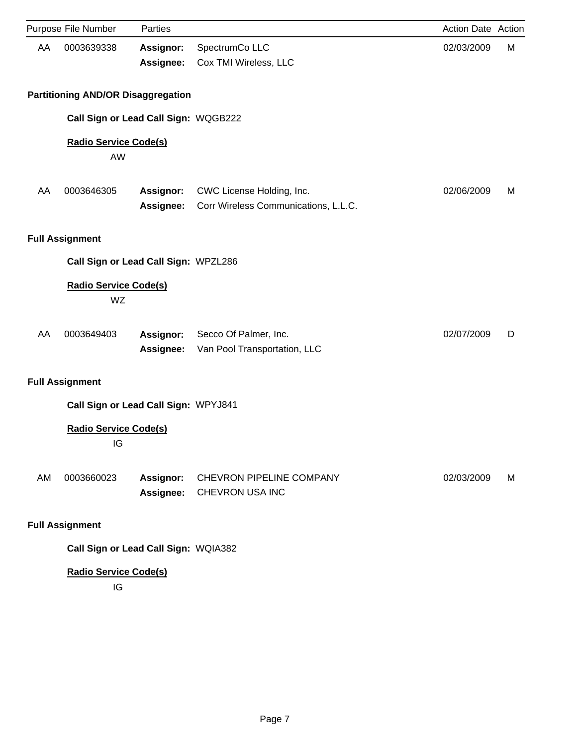|    | Purpose File Number                       | Parties                       |                                                                   | Action Date Action |   |
|----|-------------------------------------------|-------------------------------|-------------------------------------------------------------------|--------------------|---|
| AA | 0003639338                                | <b>Assignor:</b><br>Assignee: | SpectrumCo LLC<br>Cox TMI Wireless, LLC                           | 02/03/2009         | М |
|    | <b>Partitioning AND/OR Disaggregation</b> |                               |                                                                   |                    |   |
|    | Call Sign or Lead Call Sign: WQGB222      |                               |                                                                   |                    |   |
|    | <b>Radio Service Code(s)</b><br>AW        |                               |                                                                   |                    |   |
| AA | 0003646305                                | Assignor:<br><b>Assignee:</b> | CWC License Holding, Inc.<br>Corr Wireless Communications, L.L.C. | 02/06/2009         | M |
|    | <b>Full Assignment</b>                    |                               |                                                                   |                    |   |
|    | Call Sign or Lead Call Sign: WPZL286      |                               |                                                                   |                    |   |
|    | <b>Radio Service Code(s)</b><br>WZ        |                               |                                                                   |                    |   |
| AA | 0003649403                                | Assignor:<br><b>Assignee:</b> | Secco Of Palmer, Inc.<br>Van Pool Transportation, LLC             | 02/07/2009         | D |
|    | <b>Full Assignment</b>                    |                               |                                                                   |                    |   |
|    | Call Sign or Lead Call Sign: WPYJ841      |                               |                                                                   |                    |   |
|    | <b>Radio Service Code(s)</b><br>IG        |                               |                                                                   |                    |   |
| AM | 0003660023                                | <b>Assignor:</b><br>Assignee: | CHEVRON PIPELINE COMPANY<br>CHEVRON USA INC                       | 02/03/2009         | M |
|    | <b>Full Assignment</b>                    |                               |                                                                   |                    |   |

**Call Sign or Lead Call Sign:** WQIA382

# **Radio Service Code(s)**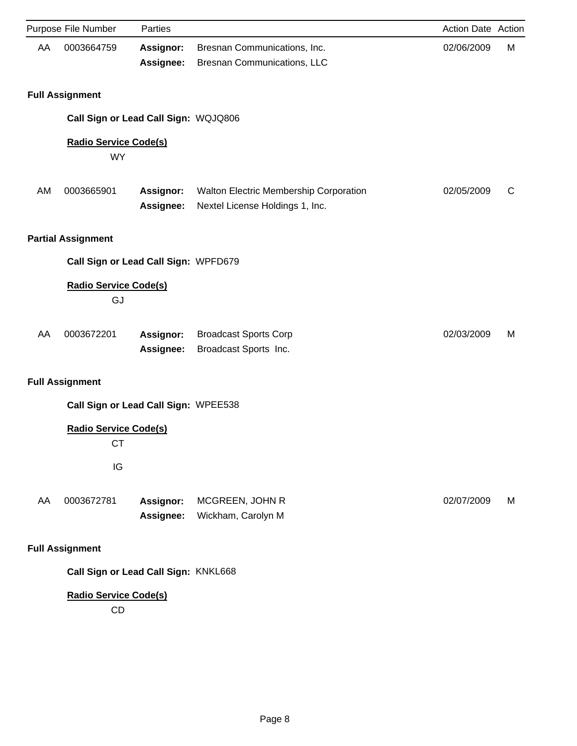|    | Purpose File Number                       | Parties                |                                                                           | Action Date Action |   |
|----|-------------------------------------------|------------------------|---------------------------------------------------------------------------|--------------------|---|
| AA | 0003664759                                | Assignor:<br>Assignee: | Bresnan Communications, Inc.<br>Bresnan Communications, LLC               | 02/06/2009         | M |
|    | <b>Full Assignment</b>                    |                        |                                                                           |                    |   |
|    | Call Sign or Lead Call Sign: WQJQ806      |                        |                                                                           |                    |   |
|    | <b>Radio Service Code(s)</b><br><b>WY</b> |                        |                                                                           |                    |   |
| AM | 0003665901                                | Assignor:<br>Assignee: | Walton Electric Membership Corporation<br>Nextel License Holdings 1, Inc. | 02/05/2009         | C |
|    | <b>Partial Assignment</b>                 |                        |                                                                           |                    |   |
|    | Call Sign or Lead Call Sign: WPFD679      |                        |                                                                           |                    |   |
|    | <b>Radio Service Code(s)</b><br>GJ        |                        |                                                                           |                    |   |
| AA | 0003672201                                | Assignor:<br>Assignee: | <b>Broadcast Sports Corp</b><br>Broadcast Sports Inc.                     | 02/03/2009         | M |
|    | <b>Full Assignment</b>                    |                        |                                                                           |                    |   |
|    | Call Sign or Lead Call Sign: WPEE538      |                        |                                                                           |                    |   |
|    | <b>Radio Service Code(s)</b><br>СT<br>IG  |                        |                                                                           |                    |   |
|    |                                           |                        |                                                                           |                    |   |
| AA | 0003672781                                | Assignor:<br>Assignee: | MCGREEN, JOHN R<br>Wickham, Carolyn M                                     | 02/07/2009         | М |
|    | <b>Full Assignment</b>                    |                        |                                                                           |                    |   |
|    | Call Sign or Lead Call Sign: KNKL668      |                        |                                                                           |                    |   |
|    | <b>Radio Service Code(s)</b><br>CD        |                        |                                                                           |                    |   |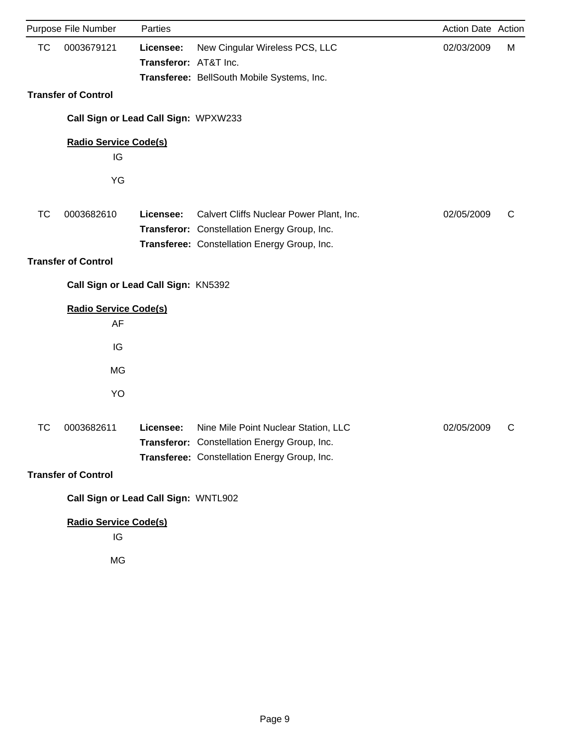|           | Purpose File Number                  | Parties                            |                                                                                                                                          | Action Date Action |   |
|-----------|--------------------------------------|------------------------------------|------------------------------------------------------------------------------------------------------------------------------------------|--------------------|---|
| <b>TC</b> | 0003679121                           | Licensee:<br>Transferor: AT&T Inc. | New Cingular Wireless PCS, LLC<br>Transferee: BellSouth Mobile Systems, Inc.                                                             | 02/03/2009         | М |
|           | <b>Transfer of Control</b>           |                                    |                                                                                                                                          |                    |   |
|           | Call Sign or Lead Call Sign: WPXW233 |                                    |                                                                                                                                          |                    |   |
|           | <b>Radio Service Code(s)</b><br>IG   |                                    |                                                                                                                                          |                    |   |
|           | YG                                   |                                    |                                                                                                                                          |                    |   |
| <b>TC</b> | 0003682610                           | Licensee:                          | Calvert Cliffs Nuclear Power Plant, Inc.<br>Transferor: Constellation Energy Group, Inc.<br>Transferee: Constellation Energy Group, Inc. | 02/05/2009         | C |
|           | <b>Transfer of Control</b>           |                                    |                                                                                                                                          |                    |   |
|           | Call Sign or Lead Call Sign: KN5392  |                                    |                                                                                                                                          |                    |   |
|           | <b>Radio Service Code(s)</b>         |                                    |                                                                                                                                          |                    |   |
|           | AF<br>IG                             |                                    |                                                                                                                                          |                    |   |
|           | MG                                   |                                    |                                                                                                                                          |                    |   |
|           | YO                                   |                                    |                                                                                                                                          |                    |   |
|           |                                      |                                    |                                                                                                                                          |                    |   |
| TC        | 0003682611                           | Licensee:                          | Nine Mile Point Nuclear Station, LLC<br>Transferor: Constellation Energy Group, Inc.<br>Transferee: Constellation Energy Group, Inc.     | 02/05/2009         | C |
|           | <b>Transfer of Control</b>           |                                    |                                                                                                                                          |                    |   |
|           | Call Sign or Lead Call Sign: WNTL902 |                                    |                                                                                                                                          |                    |   |
|           | <b>Radio Service Code(s)</b><br>IG   |                                    |                                                                                                                                          |                    |   |
|           | MG                                   |                                    |                                                                                                                                          |                    |   |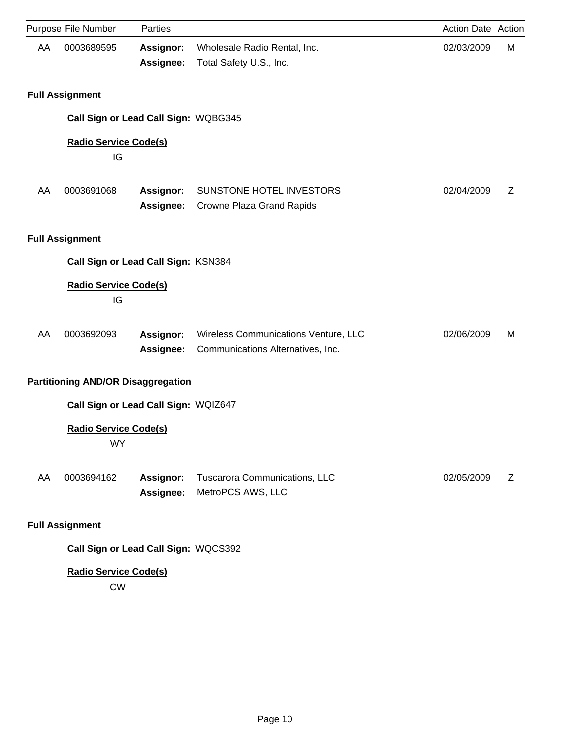|    | Purpose File Number                       | Parties                              |                                                                           | Action Date Action |   |
|----|-------------------------------------------|--------------------------------------|---------------------------------------------------------------------------|--------------------|---|
| AA | 0003689595                                | Assignor:<br>Assignee:               | Wholesale Radio Rental, Inc.<br>Total Safety U.S., Inc.                   | 02/03/2009         | M |
|    | <b>Full Assignment</b>                    |                                      |                                                                           |                    |   |
|    | Call Sign or Lead Call Sign: WQBG345      |                                      |                                                                           |                    |   |
|    | <b>Radio Service Code(s)</b><br>IG        |                                      |                                                                           |                    |   |
| AA | 0003691068                                | <b>Assignor:</b><br><b>Assignee:</b> | SUNSTONE HOTEL INVESTORS<br>Crowne Plaza Grand Rapids                     | 02/04/2009         | Ζ |
|    | <b>Full Assignment</b>                    |                                      |                                                                           |                    |   |
|    | Call Sign or Lead Call Sign: KSN384       |                                      |                                                                           |                    |   |
|    | <b>Radio Service Code(s)</b><br>IG        |                                      |                                                                           |                    |   |
| AA | 0003692093                                | Assignor:<br>Assignee:               | Wireless Communications Venture, LLC<br>Communications Alternatives, Inc. | 02/06/2009         | M |
|    | <b>Partitioning AND/OR Disaggregation</b> |                                      |                                                                           |                    |   |
|    | Call Sign or Lead Call Sign: WQIZ647      |                                      |                                                                           |                    |   |
|    | <b>Radio Service Code(s)</b><br>WY        |                                      |                                                                           |                    |   |
| AA | 0003694162                                | Assignor:<br>Assignee:               | Tuscarora Communications, LLC<br>MetroPCS AWS, LLC                        | 02/05/2009         | Z |
|    | <b>Full Assignment</b>                    |                                      |                                                                           |                    |   |
|    | Call Sign or Lead Call Sign: WQCS392      |                                      |                                                                           |                    |   |

CW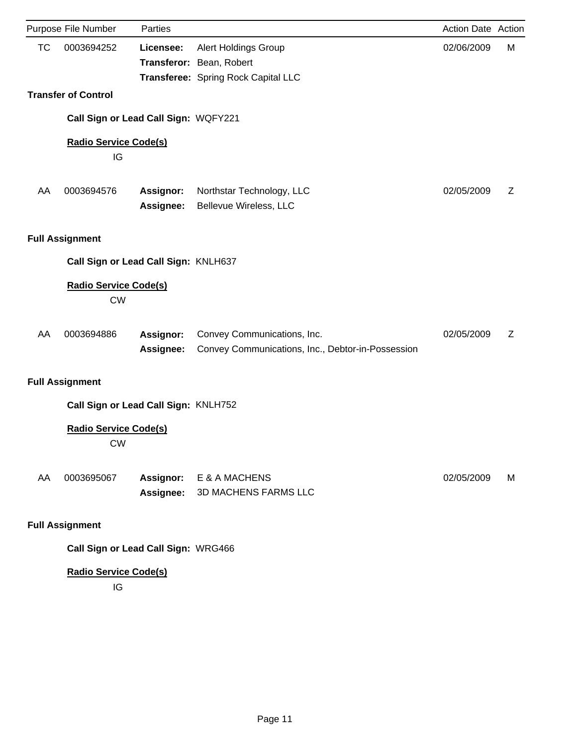|           | Purpose File Number                       | Parties                              |                                                                                         | Action Date Action |   |
|-----------|-------------------------------------------|--------------------------------------|-----------------------------------------------------------------------------------------|--------------------|---|
| <b>TC</b> | 0003694252                                | Licensee:                            | Alert Holdings Group<br>Transferor: Bean, Robert<br>Transferee: Spring Rock Capital LLC | 02/06/2009         | М |
|           | <b>Transfer of Control</b>                |                                      |                                                                                         |                    |   |
|           |                                           | Call Sign or Lead Call Sign: WQFY221 |                                                                                         |                    |   |
|           | <b>Radio Service Code(s)</b><br>IG        |                                      |                                                                                         |                    |   |
| AA        | 0003694576                                | <b>Assignor:</b><br><b>Assignee:</b> | Northstar Technology, LLC<br>Bellevue Wireless, LLC                                     | 02/05/2009         | Z |
|           | <b>Full Assignment</b>                    |                                      |                                                                                         |                    |   |
|           |                                           | Call Sign or Lead Call Sign: KNLH637 |                                                                                         |                    |   |
|           | <b>Radio Service Code(s)</b><br><b>CW</b> |                                      |                                                                                         |                    |   |
| AA        | 0003694886                                | <b>Assignor:</b><br>Assignee:        | Convey Communications, Inc.<br>Convey Communications, Inc., Debtor-in-Possession        | 02/05/2009         | Ζ |
|           | <b>Full Assignment</b>                    |                                      |                                                                                         |                    |   |
|           |                                           | Call Sign or Lead Call Sign: KNLH752 |                                                                                         |                    |   |
|           | <b>Radio Service Code(s)</b><br><b>CW</b> |                                      |                                                                                         |                    |   |
| AA        | 0003695067                                | Assignor:<br>Assignee:               | E & A MACHENS<br><b>3D MACHENS FARMS LLC</b>                                            | 02/05/2009         | М |
|           | <b>Full Assignment</b>                    |                                      |                                                                                         |                    |   |
|           |                                           | Call Sign or Lead Call Sign: WRG466  |                                                                                         |                    |   |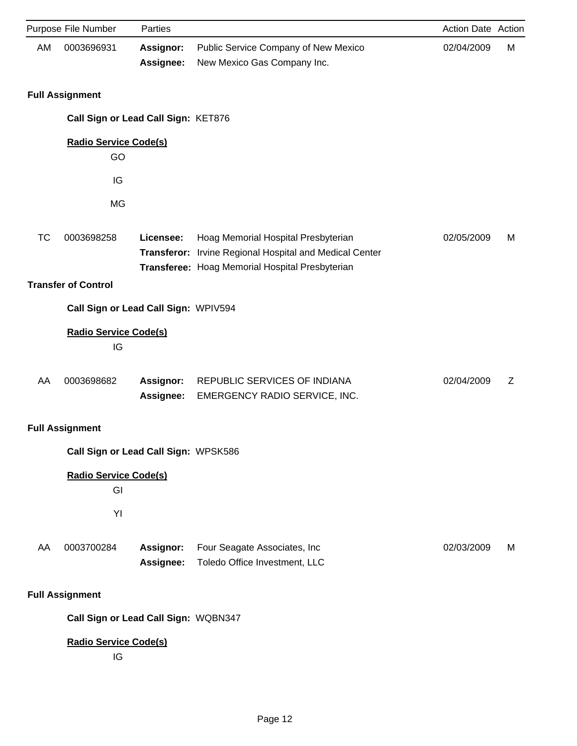|           | Purpose File Number                  | Parties                       |                                                                                                                                                   | Action Date Action |   |
|-----------|--------------------------------------|-------------------------------|---------------------------------------------------------------------------------------------------------------------------------------------------|--------------------|---|
| AM        | 0003696931                           | <b>Assignor:</b><br>Assignee: | Public Service Company of New Mexico<br>New Mexico Gas Company Inc.                                                                               | 02/04/2009         | M |
|           | <b>Full Assignment</b>               |                               |                                                                                                                                                   |                    |   |
|           | Call Sign or Lead Call Sign: KET876  |                               |                                                                                                                                                   |                    |   |
|           | <b>Radio Service Code(s)</b><br>GO   |                               |                                                                                                                                                   |                    |   |
|           | IG                                   |                               |                                                                                                                                                   |                    |   |
|           | MG                                   |                               |                                                                                                                                                   |                    |   |
| <b>TC</b> | 0003698258                           | Licensee:                     | Hoag Memorial Hospital Presbyterian<br>Transferor: Irvine Regional Hospital and Medical Center<br>Transferee: Hoag Memorial Hospital Presbyterian | 02/05/2009         | М |
|           | <b>Transfer of Control</b>           |                               |                                                                                                                                                   |                    |   |
|           | Call Sign or Lead Call Sign: WPIV594 |                               |                                                                                                                                                   |                    |   |
|           | <b>Radio Service Code(s)</b><br>IG   |                               |                                                                                                                                                   |                    |   |
| AA        | 0003698682                           | <b>Assignor:</b><br>Assignee: | REPUBLIC SERVICES OF INDIANA<br>EMERGENCY RADIO SERVICE, INC.                                                                                     | 02/04/2009         | Z |
|           | <b>Full Assignment</b>               |                               |                                                                                                                                                   |                    |   |
|           | Call Sign or Lead Call Sign: WPSK586 |                               |                                                                                                                                                   |                    |   |
|           | <b>Radio Service Code(s)</b><br>GI   |                               |                                                                                                                                                   |                    |   |
|           | YI                                   |                               |                                                                                                                                                   |                    |   |
| AA        | 0003700284                           | Assignor:<br>Assignee:        | Four Seagate Associates, Inc.<br>Toledo Office Investment, LLC                                                                                    | 02/03/2009         | M |
|           | <b>Full Assignment</b>               |                               |                                                                                                                                                   |                    |   |
|           | Call Sign or Lead Call Sign: WQBN347 |                               |                                                                                                                                                   |                    |   |
|           | <b>Radio Service Code(s)</b><br>IG   |                               |                                                                                                                                                   |                    |   |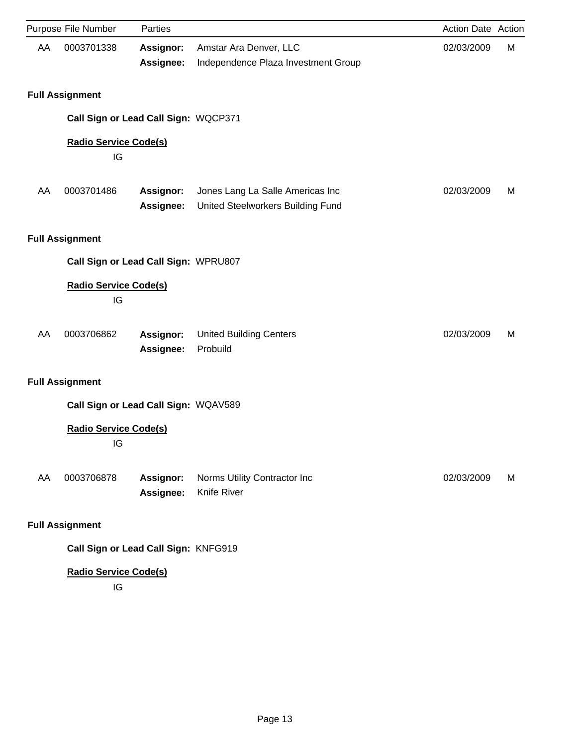|    | Purpose File Number                | Parties                              |                                                                       | Action Date Action |   |
|----|------------------------------------|--------------------------------------|-----------------------------------------------------------------------|--------------------|---|
| AA | 0003701338                         | <b>Assignor:</b><br>Assignee:        | Amstar Ara Denver, LLC<br>Independence Plaza Investment Group         | 02/03/2009         | M |
|    | <b>Full Assignment</b>             |                                      |                                                                       |                    |   |
|    |                                    | Call Sign or Lead Call Sign: WQCP371 |                                                                       |                    |   |
|    | <b>Radio Service Code(s)</b><br>IG |                                      |                                                                       |                    |   |
| AA | 0003701486                         | <b>Assignor:</b><br>Assignee:        | Jones Lang La Salle Americas Inc<br>United Steelworkers Building Fund | 02/03/2009         | M |
|    | <b>Full Assignment</b>             |                                      |                                                                       |                    |   |
|    |                                    | Call Sign or Lead Call Sign: WPRU807 |                                                                       |                    |   |
|    | <b>Radio Service Code(s)</b><br>IG |                                      |                                                                       |                    |   |
| AA | 0003706862                         | Assignor:<br>Assignee:               | <b>United Building Centers</b><br>Probuild                            | 02/03/2009         | м |
|    | <b>Full Assignment</b>             |                                      |                                                                       |                    |   |
|    |                                    | Call Sign or Lead Call Sign: WQAV589 |                                                                       |                    |   |
|    | <b>Radio Service Code(s)</b><br>IG |                                      |                                                                       |                    |   |
| AA | 0003706878                         | <b>Assignor:</b><br>Assignee:        | Norms Utility Contractor Inc<br>Knife River                           | 02/03/2009         | M |
|    | <b>Full Assignment</b>             |                                      |                                                                       |                    |   |
|    |                                    | Call Sign or Lead Call Sign: KNFG919 |                                                                       |                    |   |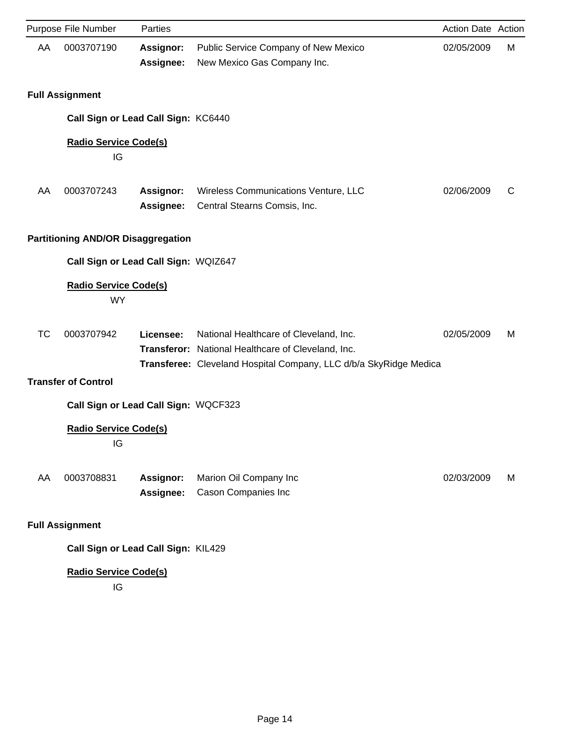|           | Purpose File Number                       | Parties                       |                                                                                                                                                                   | Action Date Action |   |
|-----------|-------------------------------------------|-------------------------------|-------------------------------------------------------------------------------------------------------------------------------------------------------------------|--------------------|---|
| AA        | 0003707190                                | Assignor:<br>Assignee:        | Public Service Company of New Mexico<br>New Mexico Gas Company Inc.                                                                                               | 02/05/2009         | М |
|           | <b>Full Assignment</b>                    |                               |                                                                                                                                                                   |                    |   |
|           | Call Sign or Lead Call Sign: KC6440       |                               |                                                                                                                                                                   |                    |   |
|           | <b>Radio Service Code(s)</b><br>IG        |                               |                                                                                                                                                                   |                    |   |
| AA        | 0003707243                                | <b>Assignor:</b><br>Assignee: | Wireless Communications Venture, LLC<br>Central Stearns Comsis, Inc.                                                                                              | 02/06/2009         | C |
|           | <b>Partitioning AND/OR Disaggregation</b> |                               |                                                                                                                                                                   |                    |   |
|           | Call Sign or Lead Call Sign: WQIZ647      |                               |                                                                                                                                                                   |                    |   |
|           | <b>Radio Service Code(s)</b><br><b>WY</b> |                               |                                                                                                                                                                   |                    |   |
| <b>TC</b> | 0003707942                                | Licensee:                     | National Healthcare of Cleveland, Inc.<br>Transferor: National Healthcare of Cleveland, Inc.<br>Transferee: Cleveland Hospital Company, LLC d/b/a SkyRidge Medica | 02/05/2009         | м |
|           | <b>Transfer of Control</b>                |                               |                                                                                                                                                                   |                    |   |
|           | Call Sign or Lead Call Sign: WQCF323      |                               |                                                                                                                                                                   |                    |   |
|           | <b>Radio Service Code(s)</b><br>IG        |                               |                                                                                                                                                                   |                    |   |
| AA        | 0003708831                                | Assignor:<br>Assignee:        | Marion Oil Company Inc<br>Cason Companies Inc                                                                                                                     | 02/03/2009         | М |
|           | <b>Full Assignment</b>                    |                               |                                                                                                                                                                   |                    |   |
|           | Call Sign or Lead Call Sign: KIL429       |                               |                                                                                                                                                                   |                    |   |
|           | <b>Radio Service Code(s)</b>              |                               |                                                                                                                                                                   |                    |   |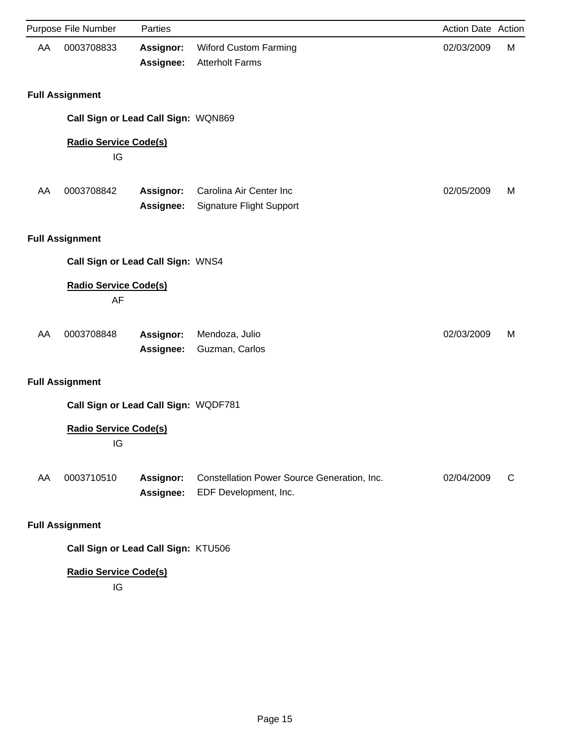|    | Purpose File Number                  | Parties                       |                                                                      | Action Date Action |   |
|----|--------------------------------------|-------------------------------|----------------------------------------------------------------------|--------------------|---|
| AA | 0003708833                           | <b>Assignor:</b><br>Assignee: | <b>Wiford Custom Farming</b><br><b>Atterholt Farms</b>               | 02/03/2009         | М |
|    | <b>Full Assignment</b>               |                               |                                                                      |                    |   |
|    | Call Sign or Lead Call Sign: WQN869  |                               |                                                                      |                    |   |
|    | <b>Radio Service Code(s)</b><br>IG   |                               |                                                                      |                    |   |
| AA | 0003708842                           | Assignor:<br>Assignee:        | Carolina Air Center Inc<br><b>Signature Flight Support</b>           | 02/05/2009         | м |
|    | <b>Full Assignment</b>               |                               |                                                                      |                    |   |
|    | Call Sign or Lead Call Sign: WNS4    |                               |                                                                      |                    |   |
|    | <b>Radio Service Code(s)</b><br>AF   |                               |                                                                      |                    |   |
| AA | 0003708848                           | Assignor:<br>Assignee:        | Mendoza, Julio<br>Guzman, Carlos                                     | 02/03/2009         | м |
|    | <b>Full Assignment</b>               |                               |                                                                      |                    |   |
|    | Call Sign or Lead Call Sign: WQDF781 |                               |                                                                      |                    |   |
|    | <b>Radio Service Code(s)</b><br>IG   |                               |                                                                      |                    |   |
| AA | 0003710510                           | Assignor:<br>Assignee:        | Constellation Power Source Generation, Inc.<br>EDF Development, Inc. | 02/04/2009         | C |
|    | <b>Full Assignment</b>               |                               |                                                                      |                    |   |

**Call Sign or Lead Call Sign:** KTU506

# **Radio Service Code(s)**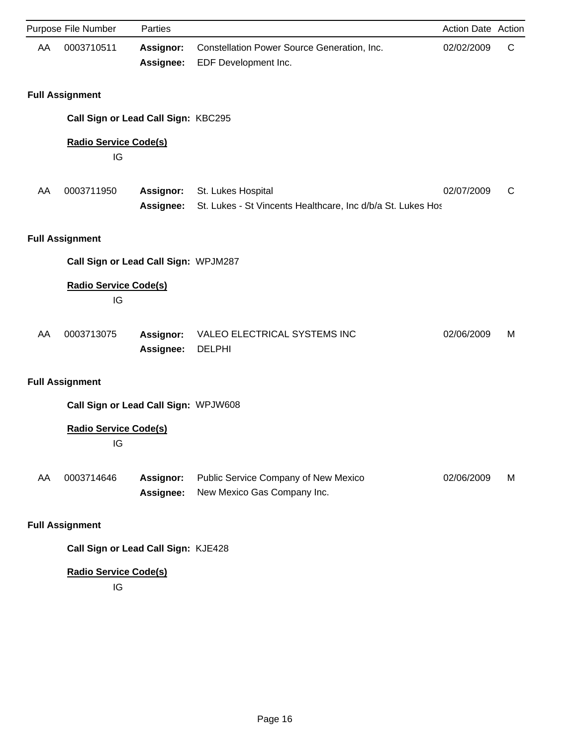|    | Purpose File Number                  | Parties                       |                                                                                   | Action Date Action |   |
|----|--------------------------------------|-------------------------------|-----------------------------------------------------------------------------------|--------------------|---|
| AA | 0003710511                           | <b>Assignor:</b><br>Assignee: | Constellation Power Source Generation, Inc.<br>EDF Development Inc.               | 02/02/2009         | C |
|    | <b>Full Assignment</b>               |                               |                                                                                   |                    |   |
|    | Call Sign or Lead Call Sign: KBC295  |                               |                                                                                   |                    |   |
|    | <b>Radio Service Code(s)</b><br>IG   |                               |                                                                                   |                    |   |
| AA | 0003711950                           | <b>Assignor:</b><br>Assignee: | St. Lukes Hospital<br>St. Lukes - St Vincents Healthcare, Inc d/b/a St. Lukes Hos | 02/07/2009         | C |
|    | <b>Full Assignment</b>               |                               |                                                                                   |                    |   |
|    | Call Sign or Lead Call Sign: WPJM287 |                               |                                                                                   |                    |   |
|    | <b>Radio Service Code(s)</b><br>IG   |                               |                                                                                   |                    |   |
| AA | 0003713075                           | Assignor:<br>Assignee:        | VALEO ELECTRICAL SYSTEMS INC<br><b>DELPHI</b>                                     | 02/06/2009         | м |
|    | <b>Full Assignment</b>               |                               |                                                                                   |                    |   |
|    | Call Sign or Lead Call Sign: WPJW608 |                               |                                                                                   |                    |   |
|    | <b>Radio Service Code(s)</b><br>IG   |                               |                                                                                   |                    |   |
| AA | 0003714646                           | <b>Assignor:</b><br>Assignee: | Public Service Company of New Mexico<br>New Mexico Gas Company Inc.               | 02/06/2009         | М |
|    | <b>Full Assignment</b>               |                               |                                                                                   |                    |   |
|    |                                      |                               |                                                                                   |                    |   |

**Call Sign or Lead Call Sign:** KJE428

# **Radio Service Code(s)**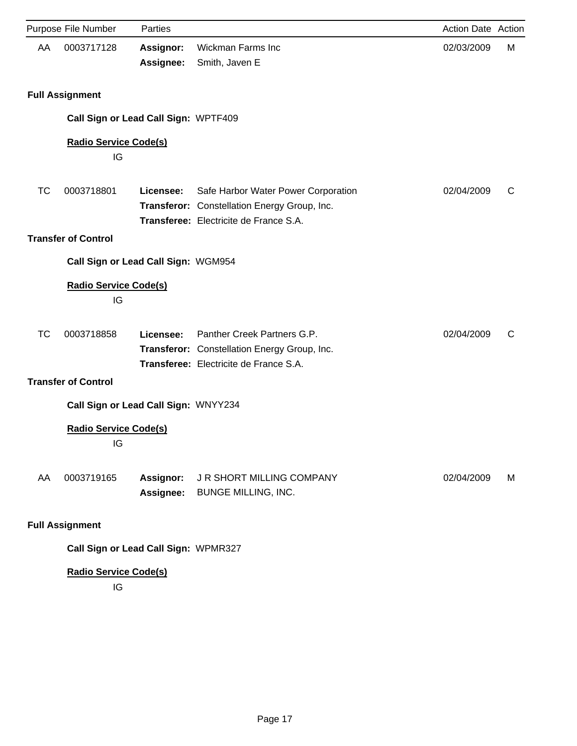|    | Purpose File Number                  | Parties                       |                                                                                                                               | Action Date Action |   |
|----|--------------------------------------|-------------------------------|-------------------------------------------------------------------------------------------------------------------------------|--------------------|---|
| AA | 0003717128                           | <b>Assignor:</b><br>Assignee: | <b>Wickman Farms Inc</b><br>Smith, Javen E                                                                                    | 02/03/2009         | М |
|    | <b>Full Assignment</b>               |                               |                                                                                                                               |                    |   |
|    | Call Sign or Lead Call Sign: WPTF409 |                               |                                                                                                                               |                    |   |
|    | <b>Radio Service Code(s)</b><br>IG   |                               |                                                                                                                               |                    |   |
| TC | 0003718801                           | Licensee:                     | Safe Harbor Water Power Corporation<br>Transferor: Constellation Energy Group, Inc.<br>Transferee: Electricite de France S.A. | 02/04/2009         | C |
|    | <b>Transfer of Control</b>           |                               |                                                                                                                               |                    |   |
|    | Call Sign or Lead Call Sign: WGM954  |                               |                                                                                                                               |                    |   |
|    | <b>Radio Service Code(s)</b><br>IG   |                               |                                                                                                                               |                    |   |
| ТC | 0003718858                           | Licensee:                     | Panther Creek Partners G.P.<br>Transferor: Constellation Energy Group, Inc.<br>Transferee: Electricite de France S.A.         | 02/04/2009         | C |
|    | <b>Transfer of Control</b>           |                               |                                                                                                                               |                    |   |
|    | Call Sign or Lead Call Sign: WNYY234 |                               |                                                                                                                               |                    |   |
|    | <b>Radio Service Code(s)</b><br>IG   |                               |                                                                                                                               |                    |   |
| AA | 0003719165                           | <b>Assignor:</b><br>Assignee: | J R SHORT MILLING COMPANY<br><b>BUNGE MILLING, INC.</b>                                                                       | 02/04/2009         | M |
|    | <b>Full Assignment</b>               |                               |                                                                                                                               |                    |   |
|    | Call Sign or Lead Call Sign: WPMR327 |                               |                                                                                                                               |                    |   |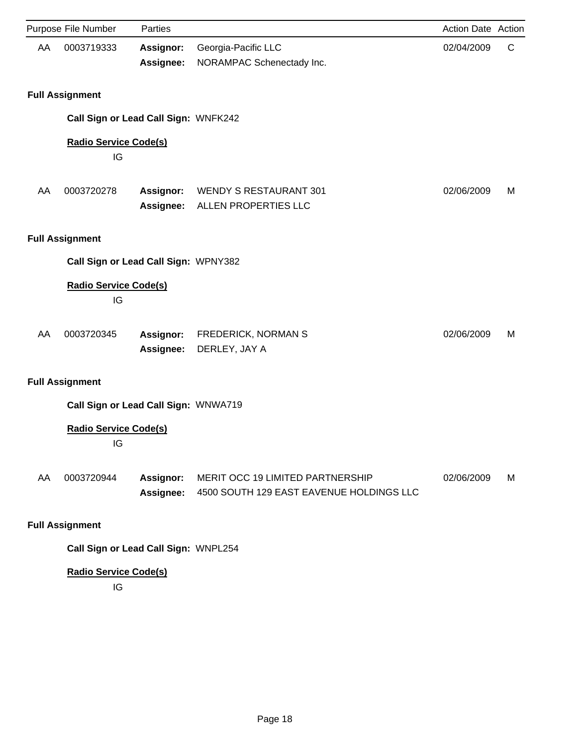|    | Purpose File Number                  | Parties                |                                                                              | Action Date Action |   |
|----|--------------------------------------|------------------------|------------------------------------------------------------------------------|--------------------|---|
| AA | 0003719333                           | Assignor:<br>Assignee: | Georgia-Pacific LLC<br>NORAMPAC Schenectady Inc.                             | 02/04/2009         | C |
|    | <b>Full Assignment</b>               |                        |                                                                              |                    |   |
|    | Call Sign or Lead Call Sign: WNFK242 |                        |                                                                              |                    |   |
|    | <b>Radio Service Code(s)</b><br>IG   |                        |                                                                              |                    |   |
| AA | 0003720278                           | Assignor:<br>Assignee: | <b>WENDY S RESTAURANT 301</b><br>ALLEN PROPERTIES LLC                        | 02/06/2009         | м |
|    | <b>Full Assignment</b>               |                        |                                                                              |                    |   |
|    | Call Sign or Lead Call Sign: WPNY382 |                        |                                                                              |                    |   |
|    | <b>Radio Service Code(s)</b><br>IG   |                        |                                                                              |                    |   |
| AA | 0003720345                           | Assignor:<br>Assignee: | FREDERICK, NORMAN S<br>DERLEY, JAY A                                         | 02/06/2009         | м |
|    | <b>Full Assignment</b>               |                        |                                                                              |                    |   |
|    | Call Sign or Lead Call Sign: WNWA719 |                        |                                                                              |                    |   |
|    | <b>Radio Service Code(s)</b><br>IG   |                        |                                                                              |                    |   |
| AA | 0003720944                           | Assignor:<br>Assignee: | MERIT OCC 19 LIMITED PARTNERSHIP<br>4500 SOUTH 129 EAST EAVENUE HOLDINGS LLC | 02/06/2009         | М |
|    | <b>Full Assignment</b>               |                        |                                                                              |                    |   |
|    | Call Sign or Lead Call Sign: WNPL254 |                        |                                                                              |                    |   |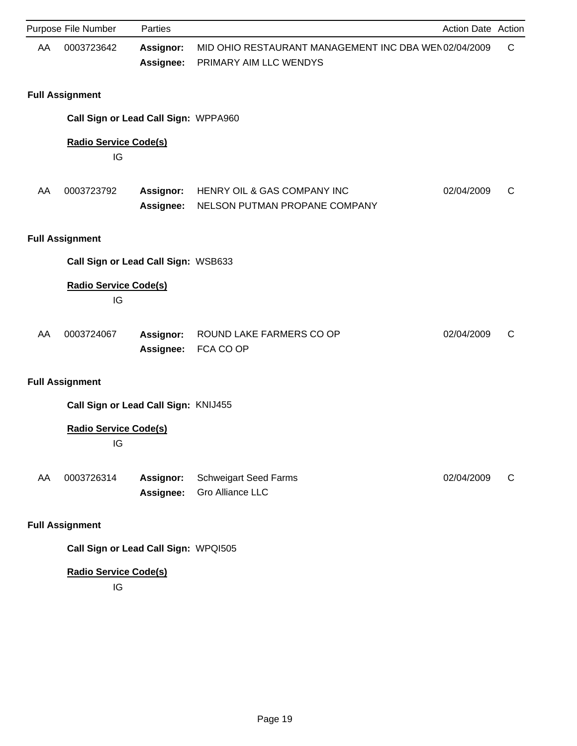|    | Purpose File Number                  | Parties                              |                                                                                 | Action Date Action |   |
|----|--------------------------------------|--------------------------------------|---------------------------------------------------------------------------------|--------------------|---|
| AA | 0003723642                           | <b>Assignor:</b><br>Assignee:        | MID OHIO RESTAURANT MANAGEMENT INC DBA WEN 02/04/2009<br>PRIMARY AIM LLC WENDYS |                    | C |
|    | <b>Full Assignment</b>               |                                      |                                                                                 |                    |   |
|    | Call Sign or Lead Call Sign: WPPA960 |                                      |                                                                                 |                    |   |
|    | <b>Radio Service Code(s)</b><br>IG   |                                      |                                                                                 |                    |   |
| AA | 0003723792                           | <b>Assignor:</b><br><b>Assignee:</b> | HENRY OIL & GAS COMPANY INC<br>NELSON PUTMAN PROPANE COMPANY                    | 02/04/2009         | C |
|    | <b>Full Assignment</b>               |                                      |                                                                                 |                    |   |
|    | Call Sign or Lead Call Sign: WSB633  |                                      |                                                                                 |                    |   |
|    | <b>Radio Service Code(s)</b><br>IG   |                                      |                                                                                 |                    |   |
| AA | 0003724067                           | Assignor:<br>Assignee:               | ROUND LAKE FARMERS CO OP<br>FCA CO OP                                           | 02/04/2009         | C |
|    | <b>Full Assignment</b>               |                                      |                                                                                 |                    |   |
|    | Call Sign or Lead Call Sign: KNIJ455 |                                      |                                                                                 |                    |   |
|    | <b>Radio Service Code(s)</b><br>IG   |                                      |                                                                                 |                    |   |
| AA | 0003726314                           | Assignor:<br>Assignee:               | <b>Schweigart Seed Farms</b><br><b>Gro Alliance LLC</b>                         | 02/04/2009         | C |
|    | <b>Full Assignment</b>               |                                      |                                                                                 |                    |   |
|    | Call Sign or Lead Call Sign: WPQI505 |                                      |                                                                                 |                    |   |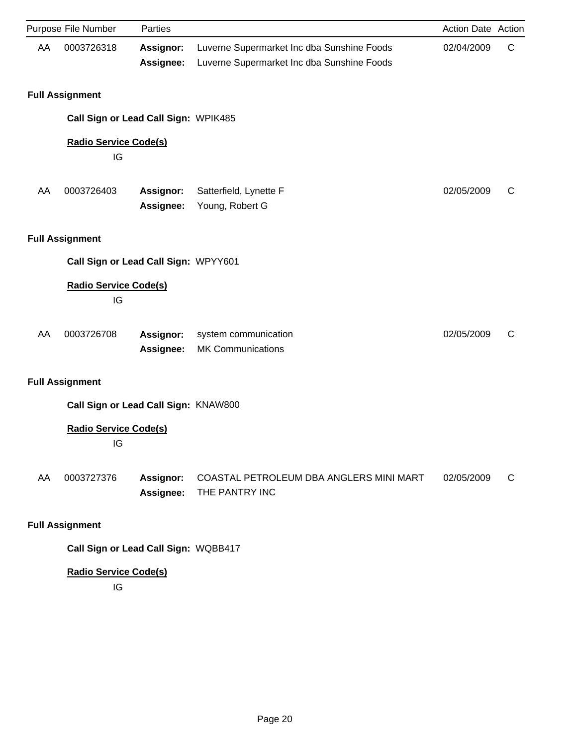|    | Purpose File Number                  | Parties                       |                                                                                          | Action Date Action |   |
|----|--------------------------------------|-------------------------------|------------------------------------------------------------------------------------------|--------------------|---|
| AA | 0003726318                           | <b>Assignor:</b><br>Assignee: | Luverne Supermarket Inc dba Sunshine Foods<br>Luverne Supermarket Inc dba Sunshine Foods | 02/04/2009         | C |
|    | <b>Full Assignment</b>               |                               |                                                                                          |                    |   |
|    | Call Sign or Lead Call Sign: WPIK485 |                               |                                                                                          |                    |   |
|    | <b>Radio Service Code(s)</b><br>IG   |                               |                                                                                          |                    |   |
| AA | 0003726403                           | Assignor:<br>Assignee:        | Satterfield, Lynette F<br>Young, Robert G                                                | 02/05/2009         | C |
|    | <b>Full Assignment</b>               |                               |                                                                                          |                    |   |
|    | Call Sign or Lead Call Sign: WPYY601 |                               |                                                                                          |                    |   |
|    | <b>Radio Service Code(s)</b><br>IG   |                               |                                                                                          |                    |   |
| AA | 0003726708                           | <b>Assignor:</b><br>Assignee: | system communication<br><b>MK Communications</b>                                         | 02/05/2009         | C |
|    | <b>Full Assignment</b>               |                               |                                                                                          |                    |   |
|    | Call Sign or Lead Call Sign: KNAW800 |                               |                                                                                          |                    |   |
|    | <b>Radio Service Code(s)</b><br>IG   |                               |                                                                                          |                    |   |
| AA | 0003727376                           | <b>Assignor:</b><br>Assignee: | COASTAL PETROLEUM DBA ANGLERS MINI MART<br>THE PANTRY INC                                | 02/05/2009         | C |
|    | <b>Full Assignment</b>               |                               |                                                                                          |                    |   |

**Call Sign or Lead Call Sign:** WQBB417

# **Radio Service Code(s)**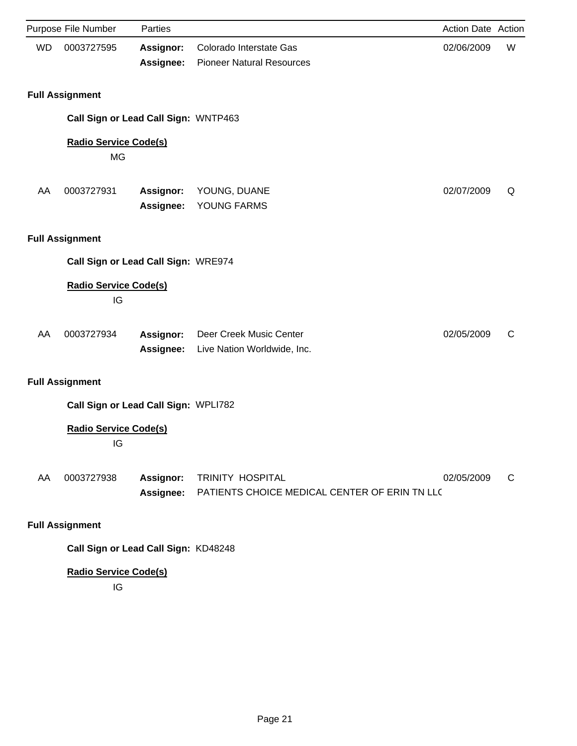|           | Purpose File Number                  | Parties                       |                                                                   | Action Date Action |   |
|-----------|--------------------------------------|-------------------------------|-------------------------------------------------------------------|--------------------|---|
| <b>WD</b> | 0003727595                           | <b>Assignor:</b><br>Assignee: | Colorado Interstate Gas<br><b>Pioneer Natural Resources</b>       | 02/06/2009         | W |
|           | <b>Full Assignment</b>               |                               |                                                                   |                    |   |
|           | Call Sign or Lead Call Sign: WNTP463 |                               |                                                                   |                    |   |
|           | <b>Radio Service Code(s)</b><br>MG   |                               |                                                                   |                    |   |
| AA        | 0003727931                           | Assignor:<br>Assignee:        | YOUNG, DUANE<br>YOUNG FARMS                                       | 02/07/2009         | Q |
|           | <b>Full Assignment</b>               |                               |                                                                   |                    |   |
|           | Call Sign or Lead Call Sign: WRE974  |                               |                                                                   |                    |   |
|           | <b>Radio Service Code(s)</b><br>IG   |                               |                                                                   |                    |   |
| AA        | 0003727934                           | <b>Assignor:</b><br>Assignee: | Deer Creek Music Center<br>Live Nation Worldwide, Inc.            | 02/05/2009         | C |
|           | <b>Full Assignment</b>               |                               |                                                                   |                    |   |
|           | Call Sign or Lead Call Sign: WPLI782 |                               |                                                                   |                    |   |
|           | <b>Radio Service Code(s)</b><br>IG   |                               |                                                                   |                    |   |
| AA        | 0003727938                           | <b>Assignor:</b><br>Assignee: | TRINITY HOSPITAL<br>PATIENTS CHOICE MEDICAL CENTER OF ERIN TN LLC | 02/05/2009         | C |
|           | <b>Full Assignment</b>               |                               |                                                                   |                    |   |

**Call Sign or Lead Call Sign:** KD48248

# **Radio Service Code(s)**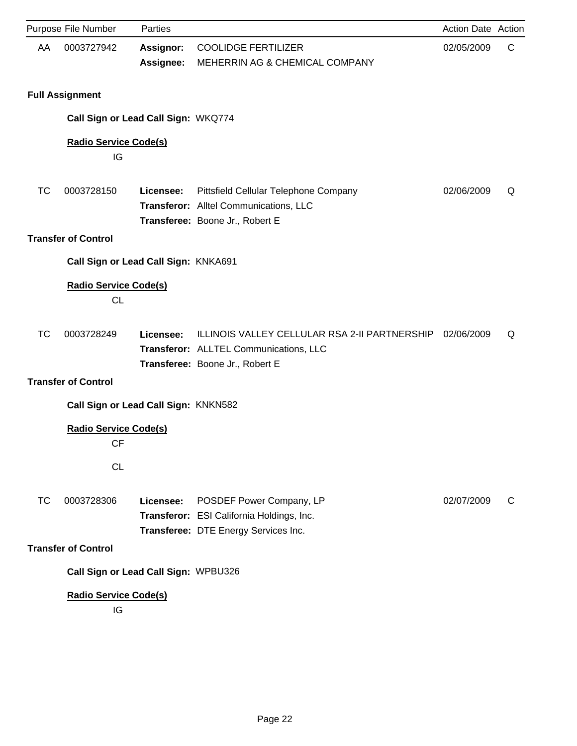|    | Purpose File Number                       | Parties                       |                                                                                                                            | Action Date Action |   |
|----|-------------------------------------------|-------------------------------|----------------------------------------------------------------------------------------------------------------------------|--------------------|---|
| AA | 0003727942                                | <b>Assignor:</b><br>Assignee: | <b>COOLIDGE FERTILIZER</b><br>MEHERRIN AG & CHEMICAL COMPANY                                                               | 02/05/2009         | C |
|    | <b>Full Assignment</b>                    |                               |                                                                                                                            |                    |   |
|    | Call Sign or Lead Call Sign: WKQ774       |                               |                                                                                                                            |                    |   |
|    | <b>Radio Service Code(s)</b><br>IG        |                               |                                                                                                                            |                    |   |
| ТC | 0003728150                                | Licensee:                     | Pittsfield Cellular Telephone Company<br>Transferor: Alltel Communications, LLC<br>Transferee: Boone Jr., Robert E         | 02/06/2009         | Q |
|    | <b>Transfer of Control</b>                |                               |                                                                                                                            |                    |   |
|    | Call Sign or Lead Call Sign: KNKA691      |                               |                                                                                                                            |                    |   |
|    | <b>Radio Service Code(s)</b><br><b>CL</b> |                               |                                                                                                                            |                    |   |
| ТC | 0003728249                                | Licensee:                     | ILLINOIS VALLEY CELLULAR RSA 2-II PARTNERSHIP<br>Transferor: ALLTEL Communications, LLC<br>Transferee: Boone Jr., Robert E | 02/06/2009         | Q |
|    | <b>Transfer of Control</b>                |                               |                                                                                                                            |                    |   |
|    | Call Sign or Lead Call Sign: KNKN582      |                               |                                                                                                                            |                    |   |
|    | <b>Radio Service Code(s)</b><br>CF        |                               |                                                                                                                            |                    |   |
|    | CL                                        |                               |                                                                                                                            |                    |   |
| ТC | 0003728306                                | Licensee:                     | POSDEF Power Company, LP<br>Transferor: ESI California Holdings, Inc.<br>Transferee: DTE Energy Services Inc.              | 02/07/2009         | C |
|    | <b>Transfer of Control</b>                |                               |                                                                                                                            |                    |   |
|    | Call Sign or Lead Call Sign: WPBU326      |                               |                                                                                                                            |                    |   |
|    | <b>Radio Service Code(s)</b><br>IG        |                               |                                                                                                                            |                    |   |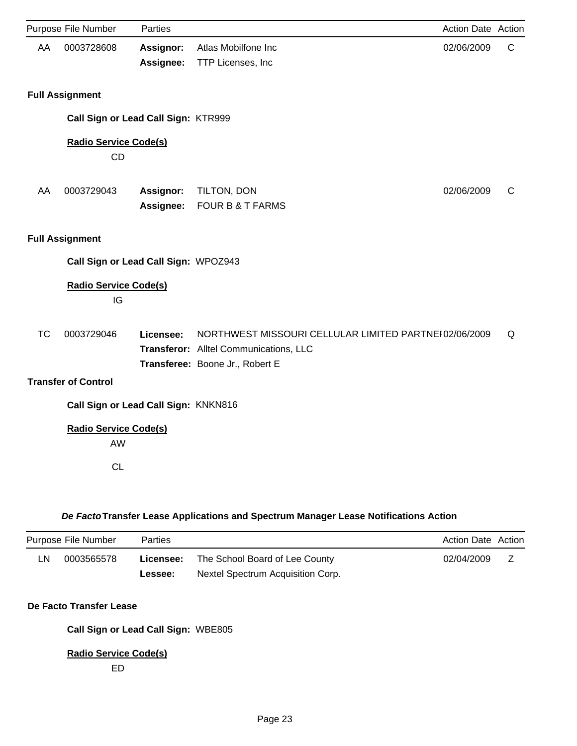|           | Purpose File Number                       | Parties                |                                                                                                                                    | Action Date Action |              |
|-----------|-------------------------------------------|------------------------|------------------------------------------------------------------------------------------------------------------------------------|--------------------|--------------|
| AA        | 0003728608                                | Assignor:              | Atlas Mobilfone Inc                                                                                                                | 02/06/2009         | $\mathsf{C}$ |
|           |                                           | Assignee:              | TTP Licenses, Inc                                                                                                                  |                    |              |
|           | <b>Full Assignment</b>                    |                        |                                                                                                                                    |                    |              |
|           | Call Sign or Lead Call Sign: KTR999       |                        |                                                                                                                                    |                    |              |
|           | <b>Radio Service Code(s)</b><br><b>CD</b> |                        |                                                                                                                                    |                    |              |
| AA        | 0003729043                                | Assignor:<br>Assignee: | TILTON, DON<br><b>FOUR B &amp; T FARMS</b>                                                                                         | 02/06/2009         | C            |
|           | <b>Full Assignment</b>                    |                        |                                                                                                                                    |                    |              |
|           | Call Sign or Lead Call Sign: WPOZ943      |                        |                                                                                                                                    |                    |              |
|           | <b>Radio Service Code(s)</b><br>IG        |                        |                                                                                                                                    |                    |              |
| <b>TC</b> | 0003729046                                | Licensee:              | NORTHWEST MISSOURI CELLULAR LIMITED PARTNEI02/06/2009<br>Transferor: Alltel Communications, LLC<br>Transferee: Boone Jr., Robert E |                    | Q            |
|           | <b>Transfer of Control</b>                |                        |                                                                                                                                    |                    |              |
|           | Call Sign or Lead Call Sign: KNKN816      |                        |                                                                                                                                    |                    |              |
|           | <b>Radio Service Code(s)</b><br>AW        |                        |                                                                                                                                    |                    |              |
|           | <b>CL</b>                                 |                        |                                                                                                                                    |                    |              |

## *De Facto***Transfer Lease Applications and Spectrum Manager Lease Notifications Action**

|    | Purpose File Number | Parties   |                                   | <b>Action Date Action</b> |  |
|----|---------------------|-----------|-----------------------------------|---------------------------|--|
| LN | 0003565578          | Licensee: | The School Board of Lee County    | 02/04/2009                |  |
|    |                     | Lessee:   | Nextel Spectrum Acquisition Corp. |                           |  |

## **De Facto Transfer Lease**

**Call Sign or Lead Call Sign:** WBE805

## **Radio Service Code(s)**

ED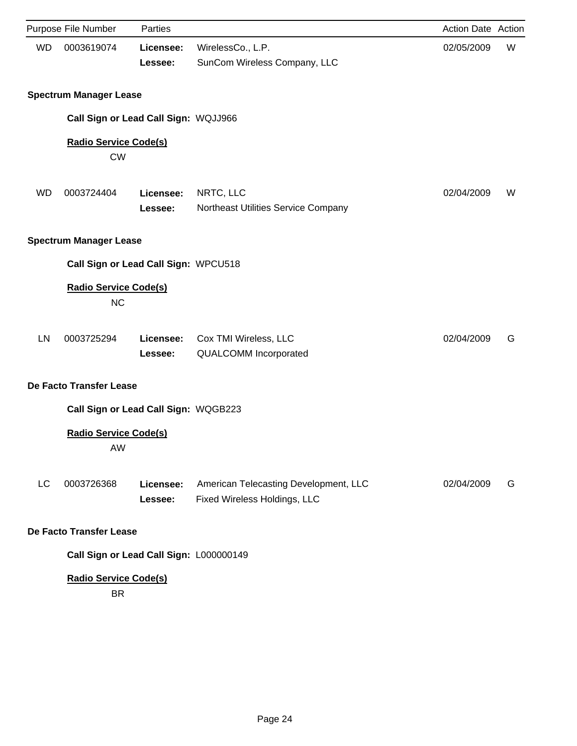|           | Purpose File Number                       | Parties              |                                                                       | <b>Action Date Action</b> |   |
|-----------|-------------------------------------------|----------------------|-----------------------------------------------------------------------|---------------------------|---|
| <b>WD</b> | 0003619074                                | Licensee:<br>Lessee: | WirelessCo., L.P.<br>SunCom Wireless Company, LLC                     | 02/05/2009                | W |
|           | <b>Spectrum Manager Lease</b>             |                      |                                                                       |                           |   |
|           | Call Sign or Lead Call Sign: WQJJ966      |                      |                                                                       |                           |   |
|           | <b>Radio Service Code(s)</b><br><b>CW</b> |                      |                                                                       |                           |   |
| <b>WD</b> | 0003724404                                | Licensee:<br>Lessee: | NRTC, LLC<br>Northeast Utilities Service Company                      | 02/04/2009                | W |
|           | <b>Spectrum Manager Lease</b>             |                      |                                                                       |                           |   |
|           | Call Sign or Lead Call Sign: WPCU518      |                      |                                                                       |                           |   |
|           | <b>Radio Service Code(s)</b><br><b>NC</b> |                      |                                                                       |                           |   |
| LN        | 0003725294                                | Licensee:<br>Lessee: | Cox TMI Wireless, LLC<br><b>QUALCOMM Incorporated</b>                 | 02/04/2009                | G |
|           | De Facto Transfer Lease                   |                      |                                                                       |                           |   |
|           | Call Sign or Lead Call Sign: WQGB223      |                      |                                                                       |                           |   |
|           | <b>Radio Service Code(s)</b><br>AW        |                      |                                                                       |                           |   |
| LC        | 0003726368                                | Licensee:<br>Lessee: | American Telecasting Development, LLC<br>Fixed Wireless Holdings, LLC | 02/04/2009                | G |
|           | De Facto Transfer Lease                   |                      |                                                                       |                           |   |
|           | Call Sign or Lead Call Sign: L000000149   |                      |                                                                       |                           |   |
|           | <b>Radio Service Code(s)</b><br><b>BR</b> |                      |                                                                       |                           |   |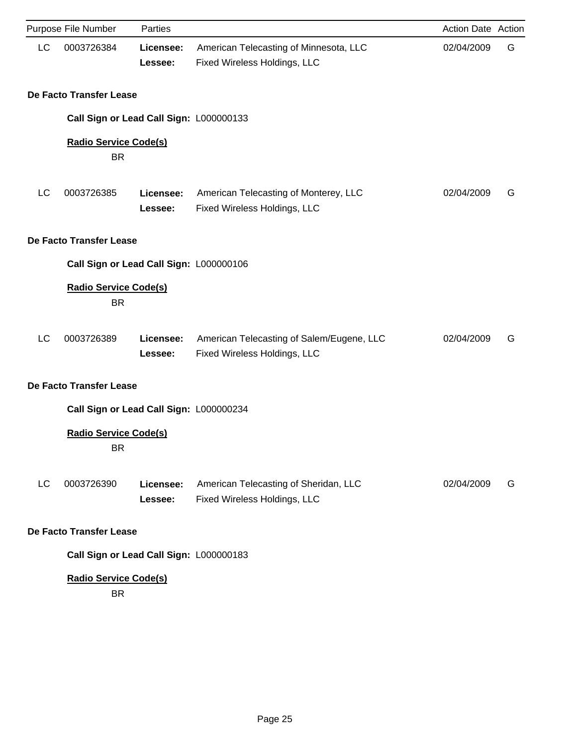|                         | Purpose File Number                       | Parties              |                                                                           | Action Date Action |   |  |  |
|-------------------------|-------------------------------------------|----------------------|---------------------------------------------------------------------------|--------------------|---|--|--|
| LC                      | 0003726384                                | Licensee:<br>Lessee: | American Telecasting of Minnesota, LLC<br>Fixed Wireless Holdings, LLC    | 02/04/2009         | G |  |  |
|                         | De Facto Transfer Lease                   |                      |                                                                           |                    |   |  |  |
|                         | Call Sign or Lead Call Sign: L000000133   |                      |                                                                           |                    |   |  |  |
|                         | <b>Radio Service Code(s)</b>              |                      |                                                                           |                    |   |  |  |
|                         | <b>BR</b>                                 |                      |                                                                           |                    |   |  |  |
| LC                      | 0003726385                                | Licensee:<br>Lessee: | American Telecasting of Monterey, LLC<br>Fixed Wireless Holdings, LLC     | 02/04/2009         | G |  |  |
|                         | De Facto Transfer Lease                   |                      |                                                                           |                    |   |  |  |
|                         | Call Sign or Lead Call Sign: L000000106   |                      |                                                                           |                    |   |  |  |
|                         | <b>Radio Service Code(s)</b><br><b>BR</b> |                      |                                                                           |                    |   |  |  |
| LC                      | 0003726389                                | Licensee:<br>Lessee: | American Telecasting of Salem/Eugene, LLC<br>Fixed Wireless Holdings, LLC | 02/04/2009         | G |  |  |
|                         | De Facto Transfer Lease                   |                      |                                                                           |                    |   |  |  |
|                         | Call Sign or Lead Call Sign: L000000234   |                      |                                                                           |                    |   |  |  |
|                         | <b>Radio Service Code(s)</b><br><b>BR</b> |                      |                                                                           |                    |   |  |  |
| LC                      | 0003726390                                | Licensee:<br>Lessee: | American Telecasting of Sheridan, LLC<br>Fixed Wireless Holdings, LLC     | 02/04/2009         | G |  |  |
| De Facto Transfer Lease |                                           |                      |                                                                           |                    |   |  |  |
|                         | Call Sign or Lead Call Sign: L000000183   |                      |                                                                           |                    |   |  |  |
|                         | <b>Radio Service Code(s)</b><br><b>DD</b> |                      |                                                                           |                    |   |  |  |

BR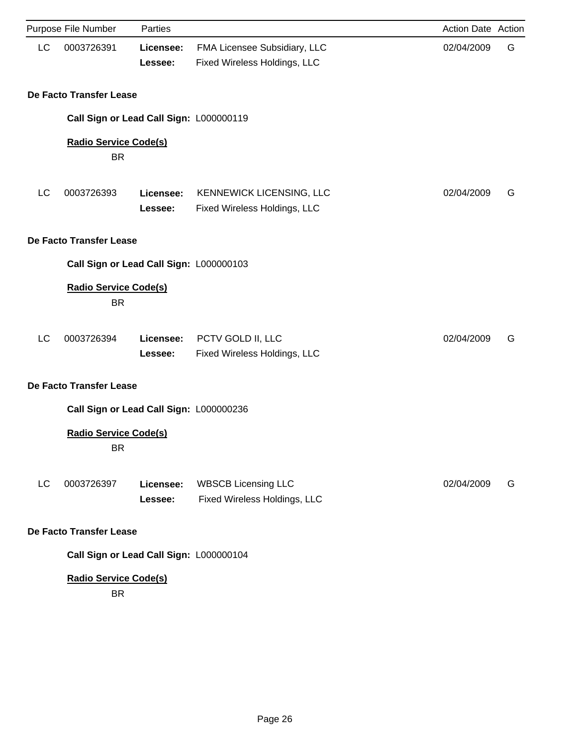|                         | Purpose File Number                       | Parties              |                                                              | Action Date Action |   |  |
|-------------------------|-------------------------------------------|----------------------|--------------------------------------------------------------|--------------------|---|--|
| LC                      | 0003726391                                | Licensee:<br>Lessee: | FMA Licensee Subsidiary, LLC<br>Fixed Wireless Holdings, LLC | 02/04/2009         | G |  |
|                         | De Facto Transfer Lease                   |                      |                                                              |                    |   |  |
|                         | Call Sign or Lead Call Sign: L000000119   |                      |                                                              |                    |   |  |
|                         | <b>Radio Service Code(s)</b><br><b>BR</b> |                      |                                                              |                    |   |  |
| LC                      | 0003726393                                | Licensee:<br>Lessee: | KENNEWICK LICENSING, LLC<br>Fixed Wireless Holdings, LLC     | 02/04/2009         | G |  |
|                         | De Facto Transfer Lease                   |                      |                                                              |                    |   |  |
|                         | Call Sign or Lead Call Sign: L000000103   |                      |                                                              |                    |   |  |
|                         | <b>Radio Service Code(s)</b><br><b>BR</b> |                      |                                                              |                    |   |  |
| LC                      | 0003726394                                | Licensee:<br>Lessee: | PCTV GOLD II, LLC<br>Fixed Wireless Holdings, LLC            | 02/04/2009         | G |  |
|                         | De Facto Transfer Lease                   |                      |                                                              |                    |   |  |
|                         | Call Sign or Lead Call Sign: L000000236   |                      |                                                              |                    |   |  |
|                         | <b>Radio Service Code(s)</b><br><b>BR</b> |                      |                                                              |                    |   |  |
| LC                      | 0003726397                                | Licensee:<br>Lessee: | <b>WBSCB Licensing LLC</b><br>Fixed Wireless Holdings, LLC   | 02/04/2009         | G |  |
| De Facto Transfer Lease |                                           |                      |                                                              |                    |   |  |
|                         | Call Sign or Lead Call Sign: L000000104   |                      |                                                              |                    |   |  |
|                         | <b>Radio Service Code(s)</b><br><b>BR</b> |                      |                                                              |                    |   |  |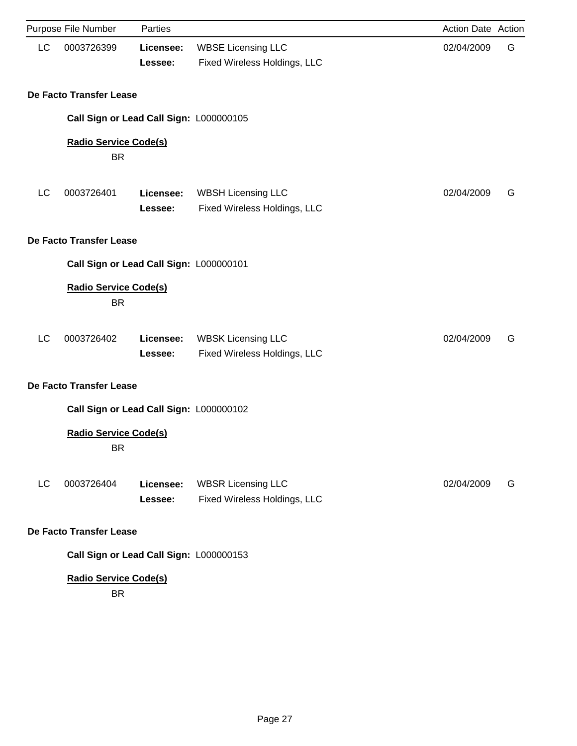|    | Purpose File Number                       | Parties              |                                                           | Action Date Action |   |
|----|-------------------------------------------|----------------------|-----------------------------------------------------------|--------------------|---|
| LC | 0003726399                                | Licensee:<br>Lessee: | <b>WBSE Licensing LLC</b><br>Fixed Wireless Holdings, LLC | 02/04/2009         | G |
|    | De Facto Transfer Lease                   |                      |                                                           |                    |   |
|    | Call Sign or Lead Call Sign: L000000105   |                      |                                                           |                    |   |
|    | <b>Radio Service Code(s)</b><br><b>BR</b> |                      |                                                           |                    |   |
| LC | 0003726401                                | Licensee:<br>Lessee: | <b>WBSH Licensing LLC</b><br>Fixed Wireless Holdings, LLC | 02/04/2009         | G |
|    | De Facto Transfer Lease                   |                      |                                                           |                    |   |
|    | Call Sign or Lead Call Sign: L000000101   |                      |                                                           |                    |   |
|    | <b>Radio Service Code(s)</b><br><b>BR</b> |                      |                                                           |                    |   |
| LC | 0003726402                                | Licensee:<br>Lessee: | <b>WBSK Licensing LLC</b><br>Fixed Wireless Holdings, LLC | 02/04/2009         | G |
|    | De Facto Transfer Lease                   |                      |                                                           |                    |   |
|    | Call Sign or Lead Call Sign: L000000102   |                      |                                                           |                    |   |
|    | <b>Radio Service Code(s)</b><br>BR.       |                      |                                                           |                    |   |
| LC | 0003726404                                | Licensee:<br>Lessee: | <b>WBSR Licensing LLC</b><br>Fixed Wireless Holdings, LLC | 02/04/2009         | G |
|    | De Facto Transfer Lease                   |                      |                                                           |                    |   |
|    | Call Sign or Lead Call Sign: L000000153   |                      |                                                           |                    |   |
|    | <b>Radio Service Code(s)</b><br><b>BR</b> |                      |                                                           |                    |   |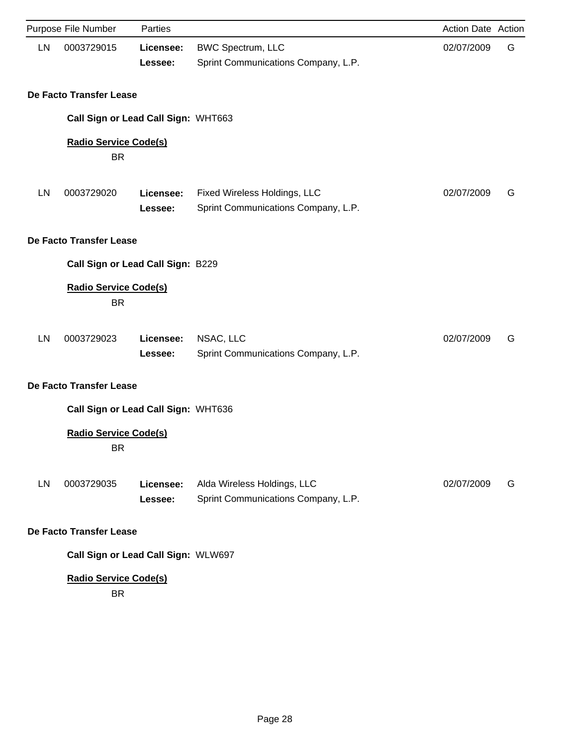|    | Purpose File Number                       | Parties              |                                                                     | Action Date Action |   |
|----|-------------------------------------------|----------------------|---------------------------------------------------------------------|--------------------|---|
| LN | 0003729015                                | Licensee:<br>Lessee: | <b>BWC Spectrum, LLC</b><br>Sprint Communications Company, L.P.     | 02/07/2009         | G |
|    | De Facto Transfer Lease                   |                      |                                                                     |                    |   |
|    | Call Sign or Lead Call Sign: WHT663       |                      |                                                                     |                    |   |
|    | <b>Radio Service Code(s)</b><br><b>BR</b> |                      |                                                                     |                    |   |
| LN | 0003729020                                | Licensee:<br>Lessee: | Fixed Wireless Holdings, LLC<br>Sprint Communications Company, L.P. | 02/07/2009         | G |
|    | De Facto Transfer Lease                   |                      |                                                                     |                    |   |
|    | Call Sign or Lead Call Sign: B229         |                      |                                                                     |                    |   |
|    | <b>Radio Service Code(s)</b><br><b>BR</b> |                      |                                                                     |                    |   |
| LN | 0003729023                                | Licensee:<br>Lessee: | NSAC, LLC<br>Sprint Communications Company, L.P.                    | 02/07/2009         | G |
|    | De Facto Transfer Lease                   |                      |                                                                     |                    |   |
|    | Call Sign or Lead Call Sign: WHT636       |                      |                                                                     |                    |   |
|    | <b>Radio Service Code(s)</b><br><b>BR</b> |                      |                                                                     |                    |   |
| LN | 0003729035                                | Licensee:<br>Lessee: | Alda Wireless Holdings, LLC<br>Sprint Communications Company, L.P.  | 02/07/2009         | G |
|    | De Facto Transfer Lease                   |                      |                                                                     |                    |   |
|    | Call Sign or Lead Call Sign: WLW697       |                      |                                                                     |                    |   |
|    | <b>Radio Service Code(s)</b><br><b>BR</b> |                      |                                                                     |                    |   |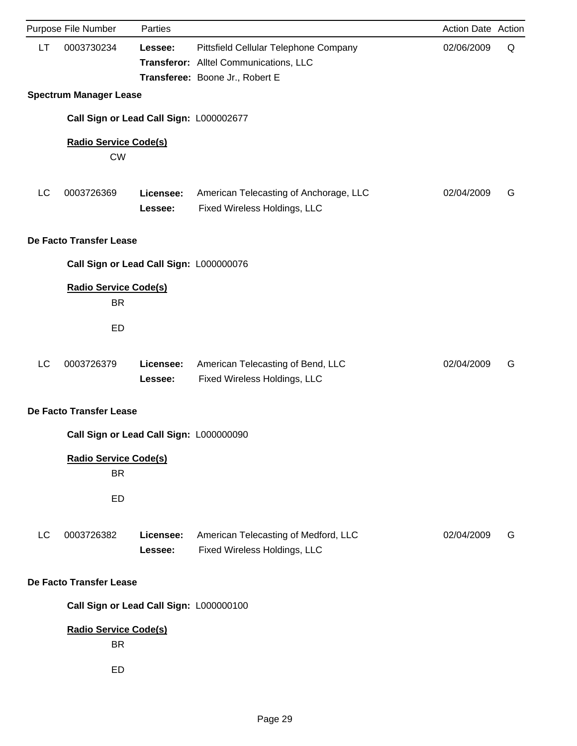|    | Purpose File Number                             | Parties              |                                                                                                                    | Action Date Action |   |
|----|-------------------------------------------------|----------------------|--------------------------------------------------------------------------------------------------------------------|--------------------|---|
| LT | 0003730234                                      | Lessee:              | Pittsfield Cellular Telephone Company<br>Transferor: Alltel Communications, LLC<br>Transferee: Boone Jr., Robert E | 02/06/2009         | Q |
|    | <b>Spectrum Manager Lease</b>                   |                      |                                                                                                                    |                    |   |
|    | Call Sign or Lead Call Sign: L000002677         |                      |                                                                                                                    |                    |   |
|    | <b>Radio Service Code(s)</b><br><b>CW</b>       |                      |                                                                                                                    |                    |   |
| LC | 0003726369                                      | Licensee:<br>Lessee: | American Telecasting of Anchorage, LLC<br>Fixed Wireless Holdings, LLC                                             | 02/04/2009         | G |
|    | De Facto Transfer Lease                         |                      |                                                                                                                    |                    |   |
|    | Call Sign or Lead Call Sign: L000000076         |                      |                                                                                                                    |                    |   |
|    | <b>Radio Service Code(s)</b><br><b>BR</b>       |                      |                                                                                                                    |                    |   |
|    | <b>ED</b>                                       |                      |                                                                                                                    |                    |   |
| LC | 0003726379                                      | Licensee:<br>Lessee: | American Telecasting of Bend, LLC<br>Fixed Wireless Holdings, LLC                                                  | 02/04/2009         | G |
|    | De Facto Transfer Lease                         |                      |                                                                                                                    |                    |   |
|    | Call Sign or Lead Call Sign: L000000090         |                      |                                                                                                                    |                    |   |
|    | <b>Radio Service Code(s)</b><br><b>BR</b><br>ED |                      |                                                                                                                    |                    |   |
| LC | 0003726382                                      | Licensee:<br>Lessee: | American Telecasting of Medford, LLC<br>Fixed Wireless Holdings, LLC                                               | 02/04/2009         | G |
|    | De Facto Transfer Lease                         |                      |                                                                                                                    |                    |   |
|    | Call Sign or Lead Call Sign: L000000100         |                      |                                                                                                                    |                    |   |
|    | <b>Radio Service Code(s)</b><br><b>BR</b>       |                      |                                                                                                                    |                    |   |
|    | ED                                              |                      |                                                                                                                    |                    |   |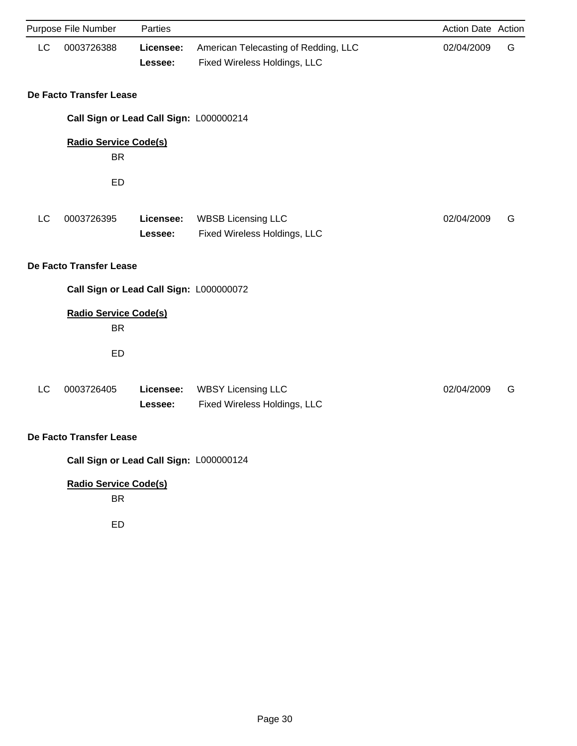|    | Purpose File Number                       | Parties              |                                                                      | Action Date Action |   |  |  |
|----|-------------------------------------------|----------------------|----------------------------------------------------------------------|--------------------|---|--|--|
| LC | 0003726388                                | Licensee:<br>Lessee: | American Telecasting of Redding, LLC<br>Fixed Wireless Holdings, LLC | 02/04/2009         | G |  |  |
|    | De Facto Transfer Lease                   |                      |                                                                      |                    |   |  |  |
|    | Call Sign or Lead Call Sign: L000000214   |                      |                                                                      |                    |   |  |  |
|    | <b>Radio Service Code(s)</b><br><b>BR</b> |                      |                                                                      |                    |   |  |  |
|    | ED                                        |                      |                                                                      |                    |   |  |  |
| LC | 0003726395                                | Licensee:<br>Lessee: | <b>WBSB Licensing LLC</b><br>Fixed Wireless Holdings, LLC            | 02/04/2009         | G |  |  |
|    | <b>De Facto Transfer Lease</b>            |                      |                                                                      |                    |   |  |  |
|    | Call Sign or Lead Call Sign: L000000072   |                      |                                                                      |                    |   |  |  |
|    | <b>Radio Service Code(s)</b><br><b>BR</b> |                      |                                                                      |                    |   |  |  |
|    | ED                                        |                      |                                                                      |                    |   |  |  |
| LC | 0003726405                                | Licensee:<br>Lessee: | <b>WBSY Licensing LLC</b><br>Fixed Wireless Holdings, LLC            | 02/04/2009         | G |  |  |
|    | De Facto Transfer Lease                   |                      |                                                                      |                    |   |  |  |
|    | Call Sign or Lead Call Sign: L000000124   |                      |                                                                      |                    |   |  |  |
|    | <b>Radio Service Code(s)</b><br><b>BR</b> |                      |                                                                      |                    |   |  |  |

ED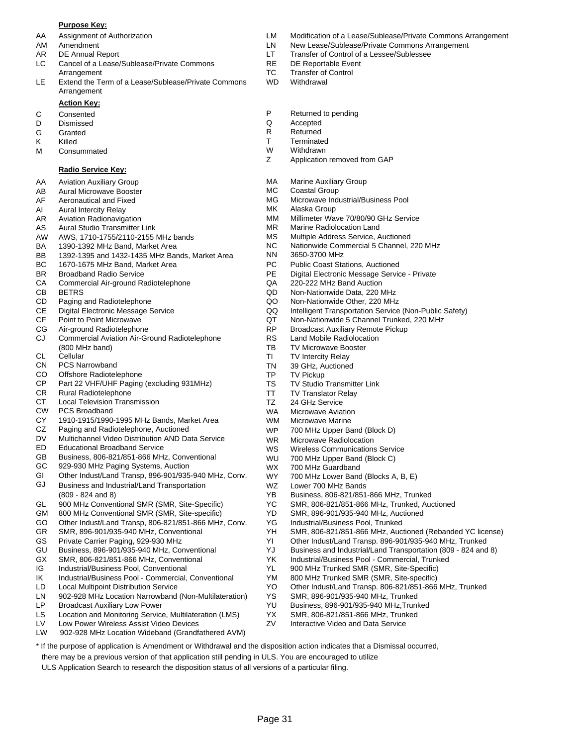#### **Purpose Key:**

- 
- 
- 
- LC Cancel of a Lease/Sublease/Private Commons RE DE Reportable Event Arrangement TC Transfer of Control
- LE Extend the Term of a Lease/Sublease/Private Commons WD Withdrawal Arrangement

### **Action Key:**

- 
- D Dismissed Q Accepted
- G Granted **R** Returned
- 
- M Consummated M W Withdrawn<br>
Z Application

#### **Radio Service Key:**

- AA Aviation Auxiliary Group
- AB Aural Microwave Booster
- AF Aeronautical and Fixed
- AI Aural Intercity Relay
- AR Aviation Radionavigation
- AS Aural Studio Transmitter Link
- AW AWS, 1710-1755/2110-2155 MHz bands
- BA 1390-1392 MHz Band, Market Area
- BB 1392-1395 and 1432-1435 MHz Bands, Market Area
- BC 1670-1675 MHz Band, Market Area
- BR Broadband Radio Service
- CA Commercial Air-ground Radiotelephone
- CB BETRS
- CD Paging and Radiotelephone
- CE Digital Electronic Message Service
- CF Point to Point Microwave
- CG Air-ground Radiotelephone
- CJ Commercial Aviation Air-Ground Radiotelephone (800 MHz band)
- CL **Cellular**
- CN PCS Narrowband
- CO Offshore Radiotelephone
- CP Part 22 VHF/UHF Paging (excluding 931MHz)
- CR Rural Radiotelephone
- CT Local Television Transmission
- CW PCS Broadband
- CY 1910-1915/1990-1995 MHz Bands, Market Area
- CZ Paging and Radiotelephone, Auctioned
- DV Multichannel Video Distribution AND Data Service
- ED Educational Broadband Service
- GB Business, 806-821/851-866 MHz, Conventional
- GC 929-930 MHz Paging Systems, Auction
- GI Other Indust/Land Transp, 896-901/935-940 MHz, Conv.
- GJ Business and Industrial/Land Transportation (809 - 824 and 8)
- GL 900 MHz Conventional SMR (SMR, Site-Specific)
- GM 800 MHz Conventional SMR (SMR, Site-specific)
- GO Other Indust/Land Transp, 806-821/851-866 MHz, Conv.
- GR SMR, 896-901/935-940 MHz, Conventional
- GS Private Carrier Paging, 929-930 MHz
- GU Business, 896-901/935-940 MHz, Conventional
- GX SMR, 806-821/851-866 MHz, Conventional
- IG Industrial/Business Pool, Conventional
- IK Industrial/Business Pool Commercial, Conventional
- LD Local Multipoint Distribution Service
- LN 902-928 MHz Location Narrowband (Non-Multilateration)
- LP Broadcast Auxiliary Low Power
- Location and Monitoring Service, Multilateration (LMS) LS
- Low Power Wireless Assist Video Devices LV
- LW 902-928 MHz Location Wideband (Grandfathered AVM)
- AA Assignment of Authorization LM Modification of a Lease/Sublease/Private Commons Arrangement
- AM Amendment **Amendment** 2002 CLN New Lease/Sublease/Private Commons Arrangement
- AR DE Annual Report **LT** Transfer of Control of a Lessee/Sublessee
	-
	-
	-
- C Consented **C** Consented **P** Returned to pending **D** Dismissed **P** Returned to pending
	-
	-
- K Killed T Terminated
	-
	- Application removed from GAP
	- MA Marine Auxiliary Group
	- MC Coastal Group
	- MG Microwave Industrial/Business Pool
	- MK Alaska Group
	- MM Millimeter Wave 70/80/90 GHz Service
	- MR Marine Radiolocation Land
	- MS Multiple Address Service, Auctioned
	- NC Nationwide Commercial 5 Channel, 220 MHz
		- NN 3650-3700 MHz
		- PC Public Coast Stations, Auctioned
		- PE Digital Electronic Message Service Private
		- QA 220-222 MHz Band Auction
		- QD Non-Nationwide Data, 220 MHz
		- QO Non-Nationwide Other, 220 MHz
		- QQ Intelligent Transportation Service (Non-Public Safety)
		- QT Non-Nationwide 5 Channel Trunked, 220 MHz
		- RP Broadcast Auxiliary Remote Pickup
		- RS Land Mobile Radiolocation
		- TB TV Microwave Booster
		- TI TV Intercity Relay
		- TN 39 GHz, Auctioned
		- TP TV Pickup

WS WU

YD

Page 31

\* If the purpose of application is Amendment or Withdrawal and the disposition action indicates that a Dismissal occurred,

there may be a previous version of that application still pending in ULS. You are encouraged to utilize ULS Application Search to research the disposition status of all versions of a particular filing.

WZ WX WY

TS TV Studio Transmitter Link

WR Microwave Radiolocation

Lower 700 MHz Bands

700 MHz Guardband

YG Industrial/Business Pool, Trunked

YS SMR, 896-901/935-940 MHz, Trunked YU Business, 896-901/935-940 MHz,Trunked YX SMR, 806-821/851-866 MHz, Trunked ZV Interactive Video and Data Service

Wireless Communications Service 700 MHz Upper Band (Block C)

YB Business, 806-821/851-866 MHz, Trunked YC SMR, 806-821/851-866 MHz, Trunked, Auctioned SMR, 896-901/935-940 MHz, Auctioned

700 MHz Lower Band (Blocks A, B, E)

YK Industrial/Business Pool - Commercial, Trunked YL 900 MHz Trunked SMR (SMR, Site-Specific) YM 800 MHz Trunked SMR (SMR, Site-specific)

YH SMR, 806-821/851-866 MHz, Auctioned (Rebanded YC license) YI Other Indust/Land Transp. 896-901/935-940 MHz, Trunked YJ Business and Industrial/Land Transportation (809 - 824 and 8)

YO Other Indust/Land Transp. 806-821/851-866 MHz, Trunked

- TT TV Translator Relay
- TZ 24 GHz Service
- WA Microwave Aviation
- WM WP Microwave Marine 700 MHz Upper Band (Block D)